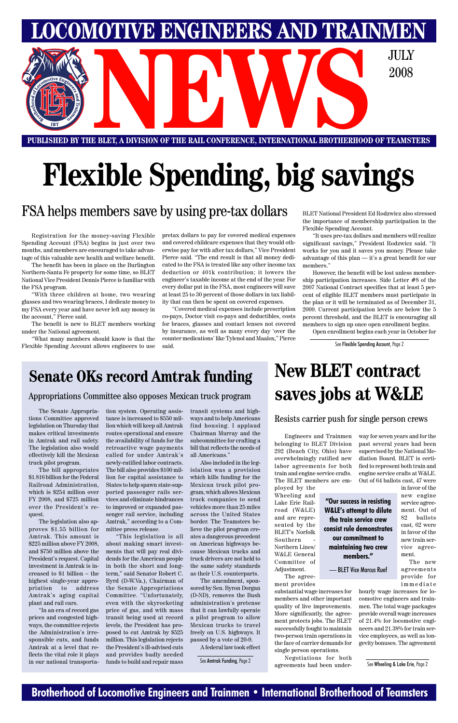### **Brotherhood of Locomotive Engineers and Trainmen • International Brotherhood of Teamsters**

**PUBLISHED BY THE BLET, A DIVISION OF THE RAIL CONFERENCE, INTERNATIONAL BROTHERHOOD OF TEAMSTERS** E BLET, A DIVISION OF THE RAIL CONFERENCE, INTERNATIONAL BROTHERHOOD OF TEAMST

**LOMOTIVE ENGINEERS AND TRAINMEN** 

2008

# **Flexible Spending, big savings**

### **Senate OKs record Amtrak funding**

#### Appropriations Committee also opposes Mexican truck program

# **New BLET contract saves jobs at W&LE**

#### Resists carrier push for single person crews

### FSA helps members save by using pre-tax dollars

Registration for the money-saving Flexible Spending Account (FSA) begins in just over two months, and members are encouraged to take advantage of this valuable new health and welfare benefit.

The benefit has been in place on the Burlington Northern-Santa Fe property for some time, so BLET National Vice President Dennis Pierce is familiar with the FSA program.

"With three children at home, two wearing glasses and two wearing braces, I dedicate money to my FSA every year and have never left any money in the account," Pierce said.

The benefit is new to BLET members working under the National agreement.

"What many members should know is that the Flexible Spending Account allows engineers to use pretax dollars to pay for covered medical expenses and covered childcare expenses that they would otherwise pay for with after tax dollars," Vice President Pierce said. "The end result is that all money dedicated to the FSA is treated like any other income tax deduction or 401k contribution; it lowers the engineer's taxable income at the end of the year. For every dollar put in the FSA, most engineers will save at least 25 to 30 percent of those dollars in tax liability that can then be spent on covered expenses.

> See Amtrak Funding, Page 2 Regoriations for both See Wheeling & Lake Erie, Page 2 Negotiations for both

"Covered medical expenses include prescription co-pays, Doctor visit co-pays and deductibles, costs for braces, glasses and contact lenses not covered by insurance, as well as many every day 'over the counter medications' like Tylenol and Maalox," Pierce said.

BLET National President Ed Rodzwicz also stressed the importance of membership participation in the Flexible Spending Account.

"It uses pre-tax dollars and members will realize significant savings," President Rodzwicz said. "It works for you and it saves you money. Please take advantage of this plan — it's a great benefit for our members."

However, the benefit will be lost unless membership participation increases. Side Letter #8 of the 2007 National Contract specifies that at least 5 percent of eligible BLET members must participate in the plan or it will be terminated as of December 31, 2009. Current participation levels are below the 5 percent threshold, and the BLET is encouraging all members to sign up once open enrollment begins.

Open enrollment begins each year in October for

See Flexible Spending Account, Page 2

Engineers and Trainmen belonging to BLET Division 292 (Beach City, Ohio) have overwhelmingly ratified new labor agreements for both train and engine service crafts. The BLET members are em-

ployed by the Wheeling and Lake Erie Railroad (W&LE) and are represented by the BLET's Norfolk Southern Northern Lines/ W&LE General Committee of Adjustment. The agree-

ment provides

substantial wage increases for members and other important quality of live improvements. More significantly, the agreement protects jobs. The BLET successfully fought to maintain two-person train operations in the face of carrier demands for single person operations.

way for seven years and for the past several years had been supervised by the National Mediation Board. BLET is certified to represent both train and engine service crafts at W&LE. Out of 64 ballots cast, 47 were in favor of the

hourly wage increases for locomotive engineers and trainmen. The total wage packages provide overall wage increases of 21.4% for locomotive engineers and 21.38% for train service employees, as well as longevity bonuses. The agreement

The Senate Appropriations Committee approved legislation on Thursday that makes critical investments in Amtrak and rail safety. The legislation also would effectively kill the Mexican truck pilot program.

The bill appropriates \$1.816 billion for the Federal Railroad Administration, which is \$254 million over FY 2008, and \$725 million over the President's request.

The legislation also approves \$1.55 billion for

Amtrak. This amount is \$225 million above FY 2008, and \$750 million above the President's request. Capital investment in Amtrak is increased to \$1 billion – the highest single-year appropriation to address Amtrak's aging capital plant and rail cars.

"In an era of record gas prices and congested highways, the committee rejects the Administration's irresponsible cuts, and funds Amtrak at a level that reflects the vital role it plays in our national transporta-

new engine service agreement. Out of 82 ballots cast, 62 were in favor of the new train service agreement. The new agreements provide for immediate **"Our success in resisting W&LE's attempt to dilute the train service crew consist rule demonstrates maintaining two crew** — BLET Vice Marcus Ruef

tion system. Operating assistance is increased to \$550 million which will keep all Amtrak routes operational and ensure the availability of funds for the retroactive wage payments called for under Amtrak's newly-ratified labor contracts. The bill also provides \$100 million for capital assistance to States to help spawn state-supported passenger rails services and eliminate hindrances to improved or expanded passenger rail service, including Amtrak," according to a Committee press release. "This legislation is all about making smart investments that will pay real dividends for the American people in both the short and longterm," said Senator Robert C. Byrd (D-W.Va.), Chairman of the Senate Appropriations Committee. "Unfortunately, even with the skyrocketing price of gas, and with mass transit being used at record levels, the President has proposed to cut Amtrak by \$525 million. This legislation rejects the President's ill-advised cuts and provides badly needed funds to build and repair mass

transit systems and highways and to help Americans find housing. I applaud Chairman Murray and the subcommittee for crafting a bill that reflects the needs of all Americans."

Also included in the legislation was a provision which kills funding for the Mexican truck pilot program, which allows Mexican truck companies to send vehicles more than 25 miles across the United States border. The Teamsters believe the pilot program creates a dangerous precedent on American highways because Mexican trucks and truck drivers are not held to the same safety standards as their U.S. counterparts. The amendment, sponsored by Sen. Byron Dorgan (D-ND), removes the Bush administration's pretense that it can lawfully operate a pilot program to allow Mexican trucks to travel freely on U.S. highways. It passed by a vote of 20-9.

A federal law took effect

**our commitment to**

**members."**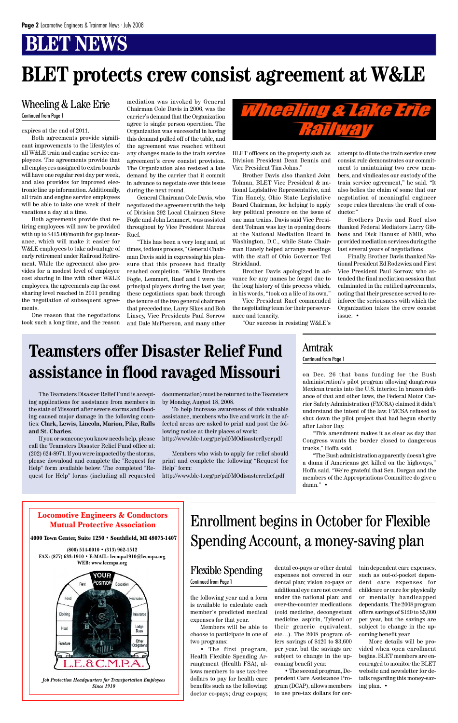# **BLET protects crew consist agreement at W&LE**

the following year and a form is available to calculate each member's predicted medical expenses for that year.

Members will be able to choose to participate in one of two programs:

• The first program, Health Flexible Spending Arrangement (Health FSA), allows members to use tax-free dollars to pay for health care benefits such as the following: doctor co-pays; drug co-pays;

dental co-pays or other dental expenses not covered in our dental plan; vision co-pays or additional eye care not covered under the national plan; and over-the-counter medications (cold medicine, decongestant medicine, aspirin, Tylenol or their generic equivalent, etc…). The 2008 program offers savings of \$120 to \$3,600 per year, but the savings are subject to change in the upcoming benefit year.

• The second program, Dependent Care Assistance Program (DCAP), allows members to use pre-tax dollars for certain dependent care expenses, such as out-of-pocket dependent care expenses for childcare or care for physically or mentally handicapped dependants. The 2008 program offers savings of \$120 to \$5,000 per year, but the savings are subject to change in the upcoming benefit year.

More details will be provided when open enrollment begins. BLET members are encouraged to monitor the BLET website and newsletter for details regarding this money-saving plan. •

on Dec. 26 that bans funding for the Bush administration's pilot program allowing dangerous Mexican trucks into the U.S. interior. In brazen defiance of that and other laws, the Federal Motor Carrier Safety Administration (FMCSA) claimed it didn't understand the intent of the law. FMCSA refused to shut down the pilot project that had begun shortly after Labor Day.

"This amendment makes it as clear as day that Congress wants the border closed to dangerous trucks," Hoffa said.

"The Bush administration apparently doesn't give a damn if Americans get killed on the highways," Hoffa said. "We're grateful that Sen. Dorgan and the members of the Appropriations Committee do give a damn." •

expires at the end of 2011.

Both agreements provide significant improvements to the lifestyles of all W&LE train and engine service employees. The agreements provide that all employees assigned to extra boards will have one regular rest day per week, and also provides for improved electronic line up information. Additionally, all train and engine service employees will be able to take one week of their vacations a day at a time.

Both agreements provide that retiring employees will now be provided with up to \$415.00/month for gap insurance, which will make it easier for W&LE employees to take advantage of early retirement under Railroad Retirement. While the agreement also provides for a modest level of employee cost sharing in line with other W&LE employees, the agreements cap the cost sharing level reached in 2011 pending the negotiation of subsequent agreements.

One reason that the negotiations took such a long time, and the reason mediation was invoked by General Chairman Cole Davis in 2006, was the carrier's demand that the Organization agree to single person operation. The Organization was successful in having this demand pulled off of the table, and the agreement was reached without any changes made to the train service agreement's crew consist provision. The Organization also resisted a late demand by the carrier that it commit in advance to negotiate over this issue during the next round.

General Chairman Cole Davis, who negotiated the agreement with the help of Division 292 Local Chairmen Steve Fogle and John Lemmert, was assisted throughout by Vice President Marcus Ruef.

"This has been a very long and, at times, tedious process," General Chairman Davis said in expressing his pleasure that this process had finally reached completion. "While Brothers Fogle, Lemmert, Ruef and I were the principal players during the last year, these negotiations span back through the tenure of the two general chairmen that preceded me, Larry Sikes and Bob Linsey, Vice Presidents Paul Sorrow and Dale McPherson, and many other



### Enrollment begins in October for Flexible

### Spending Account, a money-saving plan

#### Flexible Spending Continued from Page 1

BLET officers on the property such as Division President Dean Dennis and Vice President Tim Johns."

Brother Davis also thanked John Tolman, BLET Vice President & national Legislative Representative, and Tim Hanely, Ohio State Legislative Board Chairman, for helping to apply key political pressure on the issue of one man trains. Davis said Vice President Tolman was key in opening doors at the National Mediation Board in Washington, D.C., while State Chairman Hanely helped arrange meetings with the staff of Ohio Governor Ted Strickland.

Brother Davis apologized in advance for any names he forgot due to the long history of this process which, in his words, "took on a life of its own."

Vice President Ruef commended the negotiating team for their perseverance and tenacity.

"Our success in resisting W&LE's

attempt to dilute the train service crew consist rule demonstrates our commitment to maintaining two crew members, and vindicates our custody of the train service agreement," he said. "It also belies the claim of some that our negotiation of meaningful engineer scope rules threatens the craft of conductor."

Brothers Davis and Ruef also thanked Federal Mediators Larry Gibbons and Dick Hanusz of NMB, who provided mediation services during the last several years of negotiations.

Finally, Brother Davis thanked National President Ed Rodzwicz and First Vice President Paul Sorrow, who attended the final mediation session that culminated in the ratified agreements, noting that their presence served to reinforce the seriousness with which the Organization takes the crew consist issue. •

### Wheeling & Lake Erie

Continued from Page 1

### Amtrak Continued from Page 1

The Teamsters Disaster Relief Fund is accepting applications for assistance from members in the state of Missouri after severe storms and flooding caused major damage in the following counties: **Clark, Lewis, Lincoln, Marion, Pike, Ralls and St. Charles**.

If you or someone you know needs help, please call the Teamsters Disaster Relief Fund office at: (202) 624-8971. If you were impacted by the storms, please download and complete the "Request for Help" form available below. The completed "Request for Help" forms (including all requested documentation) must be returned to the Teamsters by Monday, August 18, 2008.

To help increase awareness of this valuable assistance, members who live and work in the affected areas are asked to print and post the following notice at their places of work:

http://www.ble-t.org/pr/pdf/MOdisasterflyer.pdf

Members who wish to apply for relief should print and complete the following "Request for Help" form:

http://www.ble-t.org/pr/pdf/MOdisasterrelief.pdf

### **Teamsters offer Disaster Relief Fund assistance in flood ravaged Missouri**

Locomotive Engineers & Conductors Mutual Protective Association

4000 Town Center, Suite 1250 • Southfield, MI 48075-1407

**(800) 514-0010 • (313) 962-1512 FAX: (877) 633-1910 • E-MAIL: lecmpa1910@lecmpa.org WEB: www.lecmpa.org**



*Job Protection Headquarters for Transportation Employees Since 1910*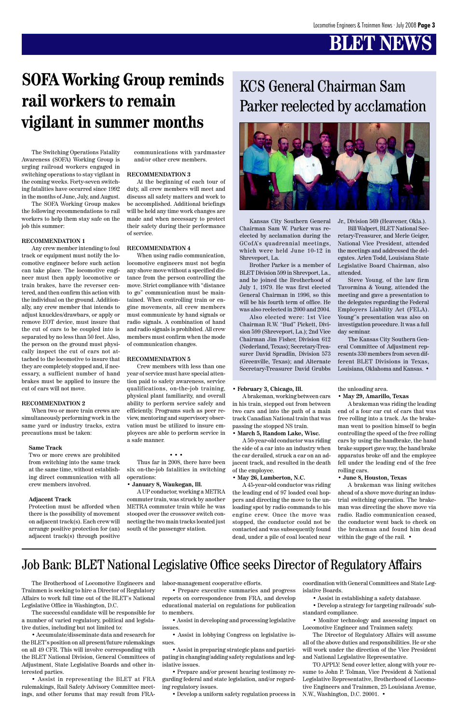Kansas City Southern General Chairman Sam W. Parker was reelected by acclamation during the GCofA's quadrennial meetings, which were held June 10-12 in Shreveport, La.

Brother Parker is a member of BLET Division 599 in Shrevport, La., and he joined the Brotherhood of July 1, 1979. He was first elected General Chairman in 1996, so this will be his fourth term of office. He was also reelected in 2000 and 2004.

Also elected were: 1st Vice Chairman R.W. "Bud" Pickett, Division 599 (Shreveport, La.); 2nd Vice Chairman Jim Fisher, Division 612 (Nederland, Texas); Secretary-Treasurer David Spradlin, Division 573 (Greenville, Texas); and Alternate Secretary-Treasurer David Grubbs

Jr., Division 569 (Heavener, Okla.).

Bill Walpert, BLET National Secretary-Treasurer, and Merle Geiger, National Vice President, attended the meetings and addressed the delegates. Arlen Todd, Louisiana State Legislative Board Chairman, also attended.

Steve Young, of the law firm Tavormina & Young, attended the meeting and gave a presentation to the delegates regarding the Federal Employers Liability Act (FELA). Young''s presentation was also on investigation procedure. It was a full day seminar.

The Kansas City Southern General Committee of Adjustment represents 330 members from seven different BLET Divisions in Texas, Louisiana, Oklahoma and Kansas. •

### KCS General Chairman Sam Parker reelected by acclamation



The Switching Operations Fatality Awareness (SOFA) Working Group is urging railroad workers engaged in switching operations to stay vigilant in the coming weeks. Forty-seven switching fatalities have occurred since 1992 in the months of June, July, and August.

The SOFA Working Group makes the following recommendations to rail workers to help them stay safe on the job this summer:

#### **RECOMMENDATION 1**

Any crew member intending to foul track or equipment must notify the locomotive engineer before such action can take place. The locomotive engineer must then apply locomotive or train brakes, have the reverser centered, and then confirm this action with the individual on the ground. Additionally, any crew member that intends to adjust knuckles/drawbars, or apply or remove EOT device, must insure that the cut of cars to be coupled into is separated by no less than 50 feet. Also, the person on the ground must physically inspect the cut of cars not attached to the locomotive to insure that they are completely stopped and, if necessary, a sufficient number of hand brakes must be applied to insure the cut of cars will not move.

#### **RECOMMENDATION 2**

When two or more train crews are simultaneously performing work in the same yard or industry tracks, extra precautions must be taken:

#### **Same Track**

Two or more crews are prohibited from switching into the same track at the same time, without establishing direct communication with all crew members involved.

#### **Adjacent Track**

Protection must be afforded when there is the possibility of movement on adjacent track(s). Each crew will arrange positive protection for (an)

adjacent track(s) through positive

communications with yardmaster and/or other crew members.

#### **RECOMMENDATION 3**

At the beginning of each tour of duty, all crew members will meet and discuss all safety matters and work to be accomplished. Additional briefings will be held any time work changes are made and when necessary to protect their safety during their performance of service.

#### **RECOMMENDATION 4**

When using radio communication, locomotive engineers must not begin any shove move without a specified distance from the person controlling the move. Strict compliance with "distance to go" communication must be maintained. When controlling train or engine movements, all crew members must communicate by hand signals or radio signals. A combination of hand and radio signals is prohibited. All crew members must confirm when the mode of communication changes.

#### **RECOMMENDATION 5**

Crew members with less than one year of service must have special attention paid to safety awareness, service qualifications, on-the-job training, physical plant familiarity, and overall ability to perform service safely and efficiently. Programs such as peer review, mentoring and supervisory observation must be utilized to insure employees are able to perform service in a safe manner.

#### • • •

Thus far in 2008, there have been six on-the-job fatalities in switching operations:

**• January 8, Waukegan, Ill.**

A UP conductor, working a METRA commuter train, was struck by another METRA commuter train while he was stooped over the crossover switch connecting the two main tracks located just south of the passenger station.

## **SOFA Working Group reminds rail workers to remain vigilant in summer months**

#### **• February 3, Chicago, Ill.**

A brakeman, working between cars in his train, stepped out from between two cars and into the path of a main track Canadian National train that was passing the stopped NS train.

**• March 5, Random Lake, Wisc.**

A 50-year-old conductor was riding the side of a car into an industry when the car derailed, struck a car on an adjacent track, and resulted in the death of the employee.

**• May 26, Lumberton, N.C.**

the unloading area.

**• May 29, Amarillo, Texas**

A 45-year-old conductor was riding the leading end of 97 loaded coal hoppers and directing the move to the unloading spot by radio commands to his engine crew. Once the move was stopped, the conductor could not be contacted and was subsequently found dead, under a pile of coal located near within the gage of the rail. •

A brakeman was riding the leading end of a four car cut of cars that was free rolling into a track. As the brakeman went to position himself to begin controlling the speed of the free rolling cars by using the handbrake, the hand brake support gave way, the hand brake apparatus broke off and the employee fell under the leading end of the free rolling cars.

**• June 8, Houston, Texas**

A brakeman was lining switches ahead of a shove move during an industrial switching operation. The brakeman was directing the shove move via radio. Radio communication ceased, the conductor went back to check on the brakeman and found him dead

The Brotherhood of Locomotive Engineers and Trainmen is seeking to hire a Director of Regulatory Affairs to work full time out of the BLET's National Legislative Office in Washington, D.C.

The successful candidate will be responsible for a number of varied regulatory, political and legislative duties, including but not limited to:

• Accumulate/disseminate data and research for the BLET's position on all present/future rulemakings on all 49 CFR. This will involve corresponding with the BLET National Division, General Committees of Adjustment, State Legislative Boards and other interested parties.

• Assist in representing the BLET at FRA rulemakings, Rail Safety Advisory Committee meetings, and other forums that may result from FRA-

labor-management cooperative efforts.

• Prepare executive summaries and progress reports on correspondence from FRA, and develop educational material on regulations for publication to members.

• Assist in developing and processing legislative issues.

• Assist in lobbying Congress on legislative issues.

• Assist in preparing strategic plans and participating in changing/adding safety regulations and legislative issues.

• Prepare and/or present hearing testimony regarding federal and state legislation, and/or regarding regulatory issues.

• Develop a uniform safety regulation process in

coordination with General Committees and State Legislative Boards.

• Assist in establishing a safety database.

• Develop a strategy for targeting railroads' substandard compliance.

• Monitor technology and assessing impact on Locomotive Engineer and Trainmen safety.

The Director of Regulatory Affairs will assume all of the above duties and responsibilities. He or she will work under the direction of the Vice President and National Legislative Representative.

TO APPLY: Send cover letter, along with your resume to John P. Tolman, Vice President & National Legislative Representative, Brotherhood of Locomotive Engineers and Trainmen, 25 Louisiana Avenue, N.W., Washington, D.C. 20001. •

### Job Bank: BLET National Legislative Office seeks Director of Regulatory Affairs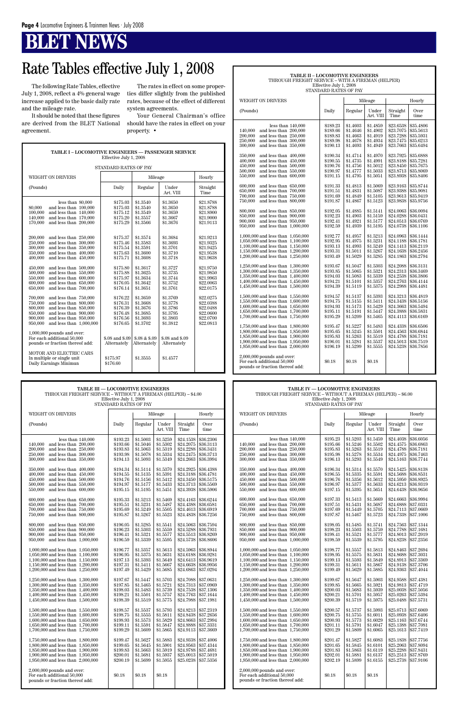| TABLE I - LOCOMOTIVE ENGINEERS — PASSENGER SERVICE<br>Effective July 1, 2008                                                                                                                                                                                                                                                                                                                                                                                                                                                                                                                                                                                                                                                                                                                                                                                             |                                                                                                                                                                                                                                                                                            |                                                                                                                                                                                                                                                                                          |                                                                                                                                                                                                                                                                                            |                                                                                                                                                                                                                                                                               |  |  |
|--------------------------------------------------------------------------------------------------------------------------------------------------------------------------------------------------------------------------------------------------------------------------------------------------------------------------------------------------------------------------------------------------------------------------------------------------------------------------------------------------------------------------------------------------------------------------------------------------------------------------------------------------------------------------------------------------------------------------------------------------------------------------------------------------------------------------------------------------------------------------|--------------------------------------------------------------------------------------------------------------------------------------------------------------------------------------------------------------------------------------------------------------------------------------------|------------------------------------------------------------------------------------------------------------------------------------------------------------------------------------------------------------------------------------------------------------------------------------------|--------------------------------------------------------------------------------------------------------------------------------------------------------------------------------------------------------------------------------------------------------------------------------------------|-------------------------------------------------------------------------------------------------------------------------------------------------------------------------------------------------------------------------------------------------------------------------------|--|--|
|                                                                                                                                                                                                                                                                                                                                                                                                                                                                                                                                                                                                                                                                                                                                                                                                                                                                          | <b>STANDARD RATES OF PAY</b>                                                                                                                                                                                                                                                               |                                                                                                                                                                                                                                                                                          |                                                                                                                                                                                                                                                                                            |                                                                                                                                                                                                                                                                               |  |  |
| <b>WEIGHT ON DRIVERS</b>                                                                                                                                                                                                                                                                                                                                                                                                                                                                                                                                                                                                                                                                                                                                                                                                                                                 |                                                                                                                                                                                                                                                                                            | Mileage                                                                                                                                                                                                                                                                                  |                                                                                                                                                                                                                                                                                            | Hourly                                                                                                                                                                                                                                                                        |  |  |
| (Pounds)                                                                                                                                                                                                                                                                                                                                                                                                                                                                                                                                                                                                                                                                                                                                                                                                                                                                 | Daily                                                                                                                                                                                                                                                                                      | Regular                                                                                                                                                                                                                                                                                  | Under<br>Art. VIII                                                                                                                                                                                                                                                                         | Straight<br>Time                                                                                                                                                                                                                                                              |  |  |
| less than 80,000<br>80,000<br>and less than 100,000<br>100,000<br>and less than 140,000<br>140,000<br>and less than 170,000<br>170,000<br>and less than 200,000<br>200,000<br>and less than 250,000<br>250,000<br>and less than 300,000<br>300,000<br>and less than 350,000<br>350,000<br>and less than 400,000<br>400,000<br>and less than 450,000<br>450,000<br>and less than 500,000<br>500,000<br>and less than 550,000<br>550,000<br>and less than 600,000<br>600,000<br>and less than 650,000<br>650,000<br>and less than 700,000<br>700,000<br>and less than 750,000<br>750,000<br>and less than 800,000<br>800,000<br>and less than 850,000<br>850,000<br>and less than 900,000<br>900,000<br>and less than 950,000<br>950,000<br>and less than $1,000,000$<br>$1,\!000,\!000$ pounds and over:<br>For each additional 50,000<br>pounds or fraction thereof add: | \$175.03<br>\$175.03<br>\$175.12<br>\$175.20<br>\$175.29<br>\$175.37<br>\$175.46<br>\$175.54<br>\$175.63<br>\$175.71<br>\$175.80<br>\$175.88<br>\$175.97<br>\$176.05<br>\$176.14<br>\$176.22<br>\$176.31<br>\$176.39<br>\$176.48<br>\$176.56<br>\$176.65<br>\$.08 and \$.09<br>Alternately | \$1.3540<br>\$1.3540<br>\$1.3549<br>\$1.3557<br>\$1.3566<br>\$1.3574<br>\$1.3583<br>\$1.3591<br>\$1.3600<br>\$1.3608<br>\$1.3617<br>\$1.3625<br>\$1.3634<br>\$1.3642<br>\$1.3651<br>\$1.3659<br>\$1.3668<br>\$1.3676<br>\$1.3685<br>\$1.3693<br>\$1.3702<br>\$.08 & \$.09<br>Alternately | \$1.3650<br>\$1.3650<br>\$1.3659<br>\$1.3667<br>\$1.3676<br>\$1.3684<br>\$1.3693<br>\$1.3701<br>\$1.3710<br>\$1.3718<br>\$1.3727<br>\$1.3735<br>\$1.3744<br>\$1.3752<br>\$1.3761<br>\$1.3769<br>\$1.3778<br>\$1.3786<br>\$1.3795<br>\$1.3803<br>\$1.3812<br>\$.08 and \$.09<br>Alternately | \$21.8788<br>\$21.8788<br>\$21.8900<br>\$21.9000<br>\$21.9113<br>\$21.9213<br>\$21.9325<br>\$21.9425<br>\$21.9538<br>\$21.9638<br>\$21.9750<br>\$21.9850<br>\$21.9963<br>\$22.0063<br>\$22.0175<br>\$22.0275<br>\$22.0388<br>\$22.0488<br>\$22.0600<br>\$22,0700<br>\$22.0813 |  |  |
| MOTOR AND ELECTRIC CARS<br>In multiple or single unit<br>Daily Earnings Minimun                                                                                                                                                                                                                                                                                                                                                                                                                                                                                                                                                                                                                                                                                                                                                                                          | \$175.97<br>\$176.60                                                                                                                                                                                                                                                                       | \$1.3555                                                                                                                                                                                                                                                                                 | \$1.4577                                                                                                                                                                                                                                                                                   |                                                                                                                                                                                                                                                                               |  |  |

| TABLE II - LOCOMOTIVE ENGINEERS<br>THROUGH FREIGHT SERVICE – WITH A FIREMAN (HELPER)                                                                                                                                                                                                                                                                                                                                                                                                                                                                                                                                                                                                                                                                                                                                                                                                                                                                                                                                                                                               |                                                                                                                                                                                                                                                                                                                                                          |                                                                                                                                                                                                                                                                                                                                                          |                                                                                                                                                                                                                                                                                                                                                          |                                                                                                                                                                                                                                                                                                                                                                                       |                                                                                                                                                                                                                                                                                                                                                                                       |
|------------------------------------------------------------------------------------------------------------------------------------------------------------------------------------------------------------------------------------------------------------------------------------------------------------------------------------------------------------------------------------------------------------------------------------------------------------------------------------------------------------------------------------------------------------------------------------------------------------------------------------------------------------------------------------------------------------------------------------------------------------------------------------------------------------------------------------------------------------------------------------------------------------------------------------------------------------------------------------------------------------------------------------------------------------------------------------|----------------------------------------------------------------------------------------------------------------------------------------------------------------------------------------------------------------------------------------------------------------------------------------------------------------------------------------------------------|----------------------------------------------------------------------------------------------------------------------------------------------------------------------------------------------------------------------------------------------------------------------------------------------------------------------------------------------------------|----------------------------------------------------------------------------------------------------------------------------------------------------------------------------------------------------------------------------------------------------------------------------------------------------------------------------------------------------------|---------------------------------------------------------------------------------------------------------------------------------------------------------------------------------------------------------------------------------------------------------------------------------------------------------------------------------------------------------------------------------------|---------------------------------------------------------------------------------------------------------------------------------------------------------------------------------------------------------------------------------------------------------------------------------------------------------------------------------------------------------------------------------------|
|                                                                                                                                                                                                                                                                                                                                                                                                                                                                                                                                                                                                                                                                                                                                                                                                                                                                                                                                                                                                                                                                                    | Effective July 1, 2008<br>STANDARD RATES OF PAY                                                                                                                                                                                                                                                                                                          |                                                                                                                                                                                                                                                                                                                                                          |                                                                                                                                                                                                                                                                                                                                                          |                                                                                                                                                                                                                                                                                                                                                                                       |                                                                                                                                                                                                                                                                                                                                                                                       |
| <b>WEIGHT ON DRIVERS</b>                                                                                                                                                                                                                                                                                                                                                                                                                                                                                                                                                                                                                                                                                                                                                                                                                                                                                                                                                                                                                                                           |                                                                                                                                                                                                                                                                                                                                                          |                                                                                                                                                                                                                                                                                                                                                          | Mileage                                                                                                                                                                                                                                                                                                                                                  |                                                                                                                                                                                                                                                                                                                                                                                       | Hourly                                                                                                                                                                                                                                                                                                                                                                                |
| (Pounds)                                                                                                                                                                                                                                                                                                                                                                                                                                                                                                                                                                                                                                                                                                                                                                                                                                                                                                                                                                                                                                                                           | Daily                                                                                                                                                                                                                                                                                                                                                    | Regular                                                                                                                                                                                                                                                                                                                                                  | Under<br>Art. VIII                                                                                                                                                                                                                                                                                                                                       | Straight<br>Time                                                                                                                                                                                                                                                                                                                                                                      | Over<br>time                                                                                                                                                                                                                                                                                                                                                                          |
| less than $140,000$<br>and less than 200,000<br>140,000<br>200,000<br>and less than 250,000<br>250,000<br>and less than 300,000<br>300,000<br>and less than 350,000<br>350,000<br>and less than 400,000<br>400,000<br>and less than 450,000<br>450,000<br>and less than 500,000<br>500,000<br>and less than 550,000<br>550,000<br>and less than 600,000<br>600,000<br>and less than 650,000<br>650,000<br>and less than 700,000<br>700,000<br>and less than 750,000<br>750,000<br>and less than 800,000<br>800,000<br>and less than 850,000<br>850,000<br>and less than 900,000<br>900.000<br>and less than 950,000<br>950,000<br>and less than $1,000,000$<br>1,000,000 and less than 1,050,000<br>1,050,000 and less than 1,100,000<br>1,100,000 and less than 1,150,000<br>1,150,000 and less than 1,200,000<br>1,200,000 and less than 1,250,000<br>1,250,000 and less than 1,300,000<br>1.300,000 and less than 1.350,000<br>1,350,000 and less than 1,400,000<br>1,400,000 and less than 1,450,000<br>1,450,000 and less than 1,500,000<br>1,500,000 and less than 1,550,000 | \$189.23<br>\$189.66<br>\$189.83<br>\$189.98<br>\$190.13<br>\$190.34<br>\$190.55<br>\$190.76<br>\$190.97<br>\$191.15<br>\$191.33<br>\$191.51<br>\$191.69<br>\$191.87<br>\$192.05<br>\$192.23<br>\$192.41<br>\$192.59<br>\$192.77<br>\$192.95<br>\$193.13<br>\$193.31<br>\$193.49<br>\$193.67<br>\$193.85<br>\$194.03<br>\$194.21<br>\$194.39<br>\$194.57 | \$1.4603<br>\$1.4646<br>\$1.4663<br>\$1.4678<br>\$1.4693<br>\$1.4714<br>\$1.4735<br>\$1.4756<br>\$1.4777<br>\$1.4795<br>\$1.4813<br>\$1.4831<br>\$1.4849<br>\$1.4867<br>\$1.4885<br>\$1.4903<br>\$1.4921<br>\$1.4939<br>\$1.4957<br>\$1.4975<br>\$1.4993<br>\$1.5011<br>\$1.5029<br>\$1.5047<br>\$1.5065<br>\$1.5083<br>\$1.5101<br>\$1.5119<br>\$1.5137 | \$1.4859<br>\$1.4902<br>\$1.4919<br>\$1.4934<br>\$1.4949<br>\$1.4970<br>\$1.4991<br>\$1.5012<br>\$1.5033<br>\$1.5051<br>\$1.5069<br>\$1.5087<br>\$1.5105<br>\$1.5123<br>\$1.5141<br>\$1.5159<br>\$1.5177<br>\$1.5195<br>\$1.5213<br>\$1.5231<br>\$1.5249<br>\$1.5267<br>\$1.5285<br>\$1.5303<br>\$1.5321<br>\$1.5339<br>\$1.5357<br>\$1.5375<br>\$1.5393 | \$23.6538<br>\$23.7075<br>\$23.7288<br>\$23.7475<br>\$23.7663<br>\$23.7925<br>\$23.8188<br>\$23.8450<br>\$23.8713<br>\$23.8938<br>\$23.9163<br>\$23.9388<br>\$23.9613<br>\$23.9838<br>\$24.0063<br>\$24.0288<br>\$24.0513<br>\$24.0738<br>\$24.0963<br>\$24.1188<br>\$24.1413<br>\$24.1638<br>\$24.1863<br>\$24.2088<br>\$24.2313<br>\$24.2538<br>\$24.2763<br>\$24.2988<br>\$24.3213 | \$35.4806<br>\$35.5613<br>\$35.5931<br>\$35.6213<br>\$35.6494<br>\$35.6888<br>\$35.7281<br>\$35.7675<br>\$35.8069<br>\$35.8406<br>\$35.8744<br>\$35.9081<br>\$35.9419<br>\$35.9756<br>\$36.0094<br>\$36.0431<br>\$36.0769<br>\$36.1106<br>\$36.1444<br>\$36.1781<br>\$36.2119<br>\$36.2456<br>\$36.2794<br>\$36.3131<br>\$36.3469<br>\$36.3806<br>\$36.4144<br>\$36.4481<br>\$36.4819 |
| 1,550,000 and less than 1,600,000<br>1,600,000 and less than 1,650,000<br>1,650,000 and less than 1,700,000<br>1,700,000 and less than 1,750,000                                                                                                                                                                                                                                                                                                                                                                                                                                                                                                                                                                                                                                                                                                                                                                                                                                                                                                                                   | \$194.75<br>\$194.93<br>\$195.11<br>\$195.29                                                                                                                                                                                                                                                                                                             | \$1.5155<br>\$1.5173<br>\$1.5191<br>\$1.5209                                                                                                                                                                                                                                                                                                             | \$1.5411<br>\$1.5429<br>\$1.5447<br>\$1.5465                                                                                                                                                                                                                                                                                                             | \$24.3438<br>\$24.3663<br>\$24.3888<br>\$24.4113                                                                                                                                                                                                                                                                                                                                      | \$36.5156<br>\$36.5494<br>\$36.5831<br>\$36.6169                                                                                                                                                                                                                                                                                                                                      |
| 1,750,000 and less than 1,800,000<br>1,800,000 and less than 1,850,000<br>1,850,000 and less than 1,900,000<br>1,900,000 and less than 1,950,000<br>1,950,000 and less than 2,000,000                                                                                                                                                                                                                                                                                                                                                                                                                                                                                                                                                                                                                                                                                                                                                                                                                                                                                              | \$195.47<br>\$195.65<br>\$195.83<br>\$196.01<br>\$196.19                                                                                                                                                                                                                                                                                                 | \$1.5227<br>\$1.5245<br>\$1.5263<br>\$1.5281<br>\$1.5299                                                                                                                                                                                                                                                                                                 | \$1.5483<br>\$1.5501<br>\$1.5519<br>\$1.5537<br>\$1.5555                                                                                                                                                                                                                                                                                                 | \$24.4338<br>\$24.4563<br>\$24.4788<br>\$24.5013<br>\$24.5238                                                                                                                                                                                                                                                                                                                         | \$36.6506<br>\$36.6844<br>\$36.7181<br>\$36.7519<br>\$36.7856                                                                                                                                                                                                                                                                                                                         |
| $2,000,000$ pounds and over:<br>For each additional 50,000<br>pounds or fraction thereof add:                                                                                                                                                                                                                                                                                                                                                                                                                                                                                                                                                                                                                                                                                                                                                                                                                                                                                                                                                                                      | \$0.18                                                                                                                                                                                                                                                                                                                                                   | \$0.18                                                                                                                                                                                                                                                                                                                                                   | \$0.18                                                                                                                                                                                                                                                                                                                                                   |                                                                                                                                                                                                                                                                                                                                                                                       |                                                                                                                                                                                                                                                                                                                                                                                       |

|                                                                                                                                                                                             | TABLE III — LOCOMOTIVE ENGINEERS<br>TABLE IV — LOCOMOTIVE ENGINEERS<br>THROUGH FREIGHT SERVICE - WITHOUT A FIREMAN (HELPER) - \$4.00<br>THROUGH FREIGHT SERVICE - WITHOUT A FIREMAN (HELPER) - \$6.00<br>Effective July 1, 2008<br>Effective July 1, 2008<br>STANDARD RATES OF PAY<br>STANDARD RATES OF PAY |                                                          |                                                          |                                                               |                                                               |                                                                                                                                                                                           |                                                          |                                                          |                                                          |                                                               |                                                                |
|---------------------------------------------------------------------------------------------------------------------------------------------------------------------------------------------|-------------------------------------------------------------------------------------------------------------------------------------------------------------------------------------------------------------------------------------------------------------------------------------------------------------|----------------------------------------------------------|----------------------------------------------------------|---------------------------------------------------------------|---------------------------------------------------------------|-------------------------------------------------------------------------------------------------------------------------------------------------------------------------------------------|----------------------------------------------------------|----------------------------------------------------------|----------------------------------------------------------|---------------------------------------------------------------|----------------------------------------------------------------|
| WEIGHT ON DRIVERS                                                                                                                                                                           |                                                                                                                                                                                                                                                                                                             |                                                          | Mileage                                                  |                                                               | Hourly                                                        | WEIGHT ON DRIVERS                                                                                                                                                                         |                                                          |                                                          | Mileage                                                  |                                                               | Hourly                                                         |
| (Pounds)                                                                                                                                                                                    | Daily                                                                                                                                                                                                                                                                                                       | Regular                                                  | Under<br>Art. VIII                                       | Straight<br>Time                                              | Over<br>time                                                  | (Pounds)                                                                                                                                                                                  | Daily                                                    | Regular                                                  | Under<br>Art. VIII                                       | Straight<br>Time                                              | Over<br>time                                                   |
| less than $140,000$<br>140,000 and less than 200,000<br>200,000<br>and less than 250,000<br>and less than 300,000<br>250,000<br>300,000<br>and less than 350,000                            | \$193.23<br>\$193.66<br>\$193.83<br>\$193.98<br>\$194.13                                                                                                                                                                                                                                                    | \$1.5003<br>\$1.5046<br>\$1.5063<br>\$1.5078<br>\$1.5093 | \$1.5259<br>\$1.5302<br>\$1.5319<br>\$1.5334<br>\$1.5349 | \$24.1538<br>\$24.2075<br>\$24.2288<br>\$24.2475<br>\$24.2663 | \$36.2306<br>\$36.3113<br>\$36.3431<br>\$36.3713<br>\$36.3994 | less than $140,000$<br>140.000<br>and less than 200,000<br>200,000<br>and less than 250,000<br>250,000<br>and less than 300,000<br>300,000<br>and less than 350,000                       | \$195.23<br>\$195.66<br>\$195.83<br>\$195.98<br>\$196.13 | \$1.5203<br>\$1.5246<br>\$1.5263<br>\$1.5278<br>\$1.5293 | \$1.5459<br>\$1.5502<br>\$1.5519<br>\$1.5534<br>\$1.5549 | \$24.4038<br>\$24.4575<br>\$24.4788<br>\$24.4975<br>\$24.5163 | \$36.6056<br>\$36.6863<br>\$36.7181<br>\$36.7463<br>\$36.7744  |
| 350,000<br>and less than 400,000<br>and less than 450,000<br>400,000<br>and less than 500,000<br>450,000<br>500,000<br>and less than 550,000<br>and less than 600,000<br>550,000            | \$194.34<br>\$194.55<br>\$194.76<br>\$194.97<br>\$195.15                                                                                                                                                                                                                                                    | \$1.5114<br>\$1.5135<br>\$1.5156<br>\$1.5177<br>\$1.5195 | \$1.5370<br>\$1.5391<br>\$1.5412<br>\$1.5433<br>\$1.5451 | \$24.2925<br>\$24.3188<br>\$24.3450<br>\$24.3713<br>\$24.3938 | \$36.4388<br>\$36.4781<br>\$36.5175<br>\$36.5569<br>\$36.5906 | 350,000<br>and less than $400,000$<br>400,000<br>and less than 450,000<br>and less than 500,000<br>450,000<br>500,000<br>and less than 550,000<br>550,000<br>and less than $600,000$      | \$196.34<br>\$196.55<br>\$196.76<br>\$196.97<br>\$197.15 | \$1.5314<br>\$1.5335<br>\$1.5356<br>\$1.5377<br>\$1.5395 | \$1.5570<br>\$1.5591<br>\$1.5612<br>\$1.5633<br>\$1.5651 | \$24.5425<br>\$24.5688<br>\$24.5950<br>\$24.6213<br>\$24.6438 | \$36.8138<br>\$36.8531<br>\$36.8925<br>\$36.9319<br>\$36.9656  |
| 600,000<br>and less than 650,000<br>650,000<br>and less than 700,000<br>700,000<br>and less than 750,000<br>750,000<br>and less than 800,000                                                | \$195.33<br>\$195.51<br>\$195.69<br>\$195.87                                                                                                                                                                                                                                                                | \$1.5213<br>\$1.5231<br>\$1.5249<br>\$1.5267             | \$1.5469<br>\$1.5487<br>\$1.5505<br>\$1.5523             | \$24.4163<br>\$24.4388<br>\$24.4613<br>\$24.4838              | \$36.6244<br>\$36.6581<br>\$36.6919<br>\$36.7256              | 600,000<br>and less than 650,000<br>650,000<br>and less than 700,000<br>700,000<br>and less than 750,000<br>750,000<br>and less than 800,000                                              | \$197.33<br>$\$197.51$<br>\$197.69<br>\$197.87           | \$1.5413<br>\$1.5431<br>\$1.5449<br>\$1.5467             | \$1.5669<br>\$1.5687<br>\$1.5705<br>\$1.5723             | \$24.6663<br>\$24.6888<br>\$24.7113<br>\$24.7338              | \$36.9994<br>\$37.0331<br>\$37.0669<br>\$37.1006               |
| 800,000<br>and less than 850,000<br>850,000<br>and less than 900,000<br>and less than 950,000<br>900,000<br>950,000<br>and less than $1,000,000$                                            | \$196.05<br>\$196.23<br>\$196.41<br>\$196.59                                                                                                                                                                                                                                                                | \$1.5285<br>\$1.5303<br>\$1.5321<br>\$1.5339             | \$1.5541<br>\$1.5559<br>\$1.5577<br>\$1.5595             | \$24.5063<br>\$24.5288<br>\$24.5513<br>\$24.5738              | \$36.7594<br>\$36.7931<br>\$36.8269<br>\$36.8606              | 800,000<br>and less than 850,000<br>850,000<br>and less than 900,000<br>$900,\!000$ $\,$ and less than $\,950,\!000$<br>950,000<br>and less than $1,000,000$                              | \$198.05<br>\$198.23<br>\$198.41<br>\$198.59             | \$1.5485<br>\$1.5503<br>\$1.5521<br>\$1.5539             | \$1.5741<br>\$1.5759<br>\$1.5777<br>\$1.5795             | \$24.7563<br>\$24.7788<br>\$24.8013<br>\$24.8238              | \$37.1344<br>\$37.1681<br>\$37.2019<br>\$37.2356               |
| 1,000,000 and less than 1,050,000<br>1,050,000 and less than 1,100,000<br>1,100,000 and less than 1,150,000<br>1,150,000 and less than 1,200,000<br>1,200,000 and less than 1,250,000       | \$196.77<br>\$196.95<br>\$197.13<br>\$197.31<br>\$197.49                                                                                                                                                                                                                                                    | \$1.5357<br>\$1.5375<br>\$1.5393<br>\$1.5411<br>\$1.5429 | \$1.5613<br>\$1.5631<br>\$1.5649<br>\$1.5667<br>\$1.5685 | \$24.5963<br>\$24.6188<br>\$24.6413<br>\$24.6638<br>\$24.6863 | \$36.8944<br>\$36.9281<br>\$36.9619<br>\$36.9956<br>\$37.0294 | 1,000,000 and less than 1,050,000<br>$1,050,000$ and less than $1,100,000$<br>1,100,000 and less than 1,150,000<br>1,150,000 and less than 1,200,000<br>1,200,000 and less than 1,250,000 | \$198.77<br>\$198.95<br>\$199.13<br>\$199.31<br>\$199.49 | \$1.5557<br>\$1.5575<br>\$1.5593<br>\$1.5611<br>\$1.5629 | \$1.5813<br>\$1.5831<br>\$1.5849<br>\$1.5867<br>\$1.5885 | \$24.8463<br>\$24.8688<br>\$24.8913<br>\$24.9138<br>\$24.9363 | \$37.2694<br>\$37.3031<br>\$37.3369<br>\$37.3706<br>\$37.4044  |
| 1,250,000 and less than 1,300,000<br>1,300,000 and less than 1,350,000<br>$1,350,000$ and less than $1,400,000$<br>1,400,000 and less than 1,450,000<br>1,450,000 and less than $1,500,000$ | \$197.67<br>\$197.85<br>\$198.03<br>\$198.21<br>\$198.39                                                                                                                                                                                                                                                    | \$1.5447<br>\$1.5465<br>\$1.5483<br>\$1.5501<br>\$1.5519 | \$1.5703<br>\$1.5721<br>\$1.5739<br>\$1.5757<br>\$1.5775 | \$24.7088<br>\$24.7313<br>\$24.7538<br>\$24.7763<br>\$24.7988 | \$37.0631<br>\$37.0969<br>\$37.1306<br>\$37.1644<br>\$37.1981 | 1,250,000 and less than 1,300,000<br>1,300,000 and less than 1,350,000<br>1,350,000 and less than 1,400,000<br>1,400,000 and less than 1,450,000<br>1,450,000 and less than 1,500,000     | \$199.67<br>\$199.85<br>\$200.03<br>\$200.21<br>\$200.39 | \$1.5647<br>\$1.5665<br>\$1.5683<br>\$1.5701<br>\$1.5719 | \$1.5903<br>\$1.5921<br>\$1.5939<br>\$1.5957<br>\$1.5975 | \$24.9588<br>\$24.9813<br>\$25.0038<br>\$25.0263<br>\$25.0488 | \$37.4381<br>\$37.4719<br>\$37.5056<br>\$37.5394<br>\$37.5731  |
| 1,500,000 and less than 1,550,000<br>1,550,000 and less than 1,600,000<br>1,600,000 and less than 1,650,000<br>1,650,000 and less than 1,700,000<br>1,700,000 and less than 1,750,000       | \$198.57<br>\$198.75<br>\$198.93<br>\$199.11<br>\$199.29                                                                                                                                                                                                                                                    | \$1.5537<br>\$1.5555<br>\$1.5573<br>\$1.5591<br>\$1.5609 | \$1.5793<br>\$1.5811<br>\$1.5829<br>\$1.5847<br>\$1.5865 | \$24.8213<br>\$24.8438<br>\$24.8663<br>\$24.8888<br>\$24.9113 | \$37.2319<br>\$37.2656<br>\$37.2994<br>\$37.3331<br>\$37.3669 | 1,500,000 and less than 1,550,000<br>1,550,000 and less than 1,600,000<br>1,600,000 and less than 1,650,000<br>1,650,000 and less than 1,700,000<br>1,700,000 and less than 1,750,000     | \$200.57<br>\$200.75<br>\$200.93<br>\$201.11<br>\$201.29 | \$1.5737<br>\$1.5755<br>\$1.5773<br>\$1.5791<br>\$1.5809 | \$1.5993<br>\$1.6011<br>\$1.6029<br>\$1.6047<br>\$1.6065 | \$25.0713<br>\$25.0938<br>\$25.1163<br>\$25.1388<br>\$25.1613 | \$37.6069<br>\$37.6406<br>\$37.6744<br>\$37.7081<br>\$37.7419  |
| 1,750,000 and less than 1,800,000<br>1,800,000 and less than 1,850,000<br>1,850,000 and less than 1,900,000<br>1,900,000 and less than 1,950,000<br>1,950,000 and less than 2,000,000       | \$199.47<br>\$199.65<br>\$199.83<br>\$200.01<br>\$200.19                                                                                                                                                                                                                                                    | \$1.5627<br>\$1.5645<br>\$1.5663<br>\$1.5681<br>\$1.5699 | \$1.5883<br>\$1.5901<br>\$1.5919<br>\$1.5937<br>\$1.5955 | \$24.9338<br>\$24.9563<br>\$24.9788<br>\$25.0013<br>\$25.0238 | \$37.4006<br>\$37.4344<br>\$37.4681<br>\$37.5019<br>\$37.5356 | 1,750,000 and less than 1,800,000<br>1,800,000 and less than 1,850,000<br>1,850,000 and less than 1,900,000<br>1,900,000 and less than 1,950,000<br>1,950,000 and less than 2,000,000     | \$201.47<br>\$201.65<br>\$201.83<br>\$202.01<br>\$202.19 | \$1.5827<br>\$1.5845<br>\$1.5863<br>\$1.5881<br>\$1.5899 | \$1.6083<br>\$1.6101<br>\$1.6119<br>\$1.6137<br>\$1.6155 | \$25.1838<br>\$25.2063<br>\$25.2288<br>\$25.2513<br>\$25.2738 | \$37.7756<br> \$37.8094<br>\$37.8431<br>\$37.8769<br>\$37.9106 |
| $2,000,000$ pounds and over:<br>For each additional 50,000<br>pounds or fraction thereof add:                                                                                               | \$0.18                                                                                                                                                                                                                                                                                                      | \$0.18                                                   | \$0.18                                                   |                                                               |                                                               | $2,000,000$ pounds and over:<br>For each additional 50,000<br>pounds or fraction thereof add:                                                                                             | \$0.18                                                   | \$0.18                                                   | \$0.18                                                   |                                                               |                                                                |

Ш

### **TABLE IV — LOCOMOTIVE ENGINEERS**

| WEIGHT ON DRIVERS                                                                                                                                                                                 |                                                          |                                                          | Mileage                                                  |                                                               | Hourly                                                        | <b>WEIGHT ON DRIVERS</b>                                                                                                                                                                        |                                                          |                                                          | Mileage                                                  |                                                               | Hourly                                                         |
|---------------------------------------------------------------------------------------------------------------------------------------------------------------------------------------------------|----------------------------------------------------------|----------------------------------------------------------|----------------------------------------------------------|---------------------------------------------------------------|---------------------------------------------------------------|-------------------------------------------------------------------------------------------------------------------------------------------------------------------------------------------------|----------------------------------------------------------|----------------------------------------------------------|----------------------------------------------------------|---------------------------------------------------------------|----------------------------------------------------------------|
| (Pounds)                                                                                                                                                                                          | Daily                                                    | Regular                                                  | Under<br>Art. VIII                                       | Straight<br>Time                                              | Over<br>time                                                  | (Pounds)                                                                                                                                                                                        | Daily                                                    | Regular                                                  | Under<br>Art. VIII                                       | Straight<br>Time                                              | Over<br>time                                                   |
| less than $140,000$<br>and less than 200,000<br>140,000<br>200,000<br>and less than 250,000<br>250,000<br>and less than 300,000<br>300,000<br>and less than 350,000                               | \$193.23<br>\$193.66<br>\$193.83<br>\$193.98<br>\$194.13 | \$1.5003<br>\$1.5046<br>\$1.5063<br>\$1.5078<br>\$1.5093 | \$1.5259<br>\$1.5302<br>\$1.5319<br>\$1.5334<br>\$1.5349 | \$24.1538<br>\$24.2075<br>\$24.2288<br>\$24.2475<br>\$24.2663 | \$36.2306<br>\$36.3113<br>\$36.3431<br>\$36.3713<br>\$36.3994 | less than $140,000$<br>140,000 and less than 200,000<br>200,000<br>and less than 250,000<br>250,000<br>and less than 300,000<br>300,000<br>and less than 350,000                                | \$195.23<br>\$195.66<br>\$195.83<br>\$195.98<br>\$196.13 | \$1.5203<br>\$1.5246<br>\$1.5263<br>\$1.5278<br>\$1.5293 | \$1.5459<br>\$1.5502<br>\$1.5519<br>\$1.5534<br>\$1.5549 | \$24.4038<br>\$24.4575<br>\$24.4788<br>\$24.4975<br>\$24.5163 | \$36.6056<br>\$36.6863<br>\$36.7181<br>\$36.7463<br>\$36.7744  |
| and less than 400,000<br>350,000<br>and less than 450,000<br>400,000<br>450,000<br>and less than 500,000<br>500,000<br>and less than 550,000<br>550,000<br>and less than 600,000                  | \$194.34<br>\$194.55<br>\$194.76<br>\$194.97<br>\$195.15 | \$1.5114<br>\$1.5135<br>\$1.5156<br>\$1.5177<br>\$1.5195 | \$1.5370<br>\$1.5391<br>\$1.5412<br>\$1.5433<br>\$1.5451 | \$24.2925<br>\$24.3188<br>\$24.3450<br>\$24.3713<br>\$24.3938 | \$36.4388<br>\$36.4781<br>\$36.5175<br>\$36.5569<br>\$36.5906 | 350,000<br>and less than $400,000$<br>400,000<br>and less than 450,000<br>450,000<br>and less than 500,000<br>500,000<br>and less than 550,000<br>550,000<br>and less than 600,000              | \$196.34<br>\$196.55<br>\$196.76<br>\$196.97<br>\$197.15 | \$1.5314<br>\$1.5335<br>\$1.5356<br>\$1.5377<br>\$1.5395 | \$1.5570<br>\$1.5591<br>\$1.5612<br>\$1.5633<br>\$1.5651 | \$24.5425<br>\$24.5688<br>\$24.5950<br>\$24.6213<br>\$24.6438 | \$36.8138<br>\$36.8531<br>\$36.8925<br>\$36.9319<br>\$36.9656  |
| and less than 650,000<br>600,000<br>650,000<br>and less than 700,000<br>700,000<br>and less than 750,000<br>750,000<br>and less than 800,000                                                      | \$195.33<br>\$195.51<br>\$195.69<br>\$195.87             | \$1.5213<br>\$1.5231<br>\$1.5249<br>\$1.5267             | \$1.5469<br>\$1.5487<br>\$1.5505<br>\$1.5523             | \$24.4163<br>\$24.4388<br>\$24.4613<br>\$24.4838              | \$36.6244<br>\$36.6581<br>\$36.6919<br>\$36.7256              | 600,000<br>and less than 650,000<br>650,000<br>and less than 700,000<br>700,000<br>and less than 750,000<br>and less than 800,000<br>750,000                                                    | \$197.33<br>\$197.51<br>\$197.69<br>\$197.87             | \$1.5413<br>\$1.5431<br>\$1.5449<br>\$1.5467             | \$1.5669<br>\$1.5687<br>\$1.5705<br>\$1.5723             | \$24.6663<br>\$24.6888<br>\$24.7113<br>\$24.7338              | \$36.9994<br>\$37.0331<br>\$37.0669<br>\$37.1006               |
| 800,000<br>and less than 850,000<br>and less than 900,000<br>850,000<br>900.000<br>and less than 950,000<br>950,000<br>and less than $1,000,000$                                                  | \$196.05<br>\$196.23<br>\$196.41<br>\$196.59             | \$1.5285<br>\$1.5303<br>\$1.5321<br>\$1.5339             | \$1.5541<br>\$1.5559<br>\$1.5577<br>\$1.5595             | \$24.5063<br>\$24.5288<br>\$24.5513<br>\$24.5738              | \$36.7594<br>\$36.7931<br>\$36.8269<br>\$36.8606              | and less than 850,000<br>800,000<br>850,000<br>and less than 900,000<br>900,000<br>and less than 950,000<br>950,000<br>and less than $1,000,000$                                                | \$198.05<br>\$198.23<br>\$198.41<br>\$198.59             | \$1.5485<br>\$1.5503<br>\$1.5521<br>\$1.5539             | \$1.5741<br>\$1.5759<br>\$1.5777<br>\$1.5795             | \$24.7563<br>\$24.7788<br>\$24.8013<br>\$24.8238              | \$37.1344<br>\$37.1681<br>\$37.2019<br>\$37.2356               |
| $1,000,000$ and less than $1,050,000$<br>$1,050,000$ and less than $1,100,000$<br>$1,100,000$ and less than $1,150,000$<br>1,150,000 and less than 1,200,000<br>1,200,000 and less than 1,250,000 | \$196.77<br>\$196.95<br>\$197.13<br>\$197.31<br>\$197.49 | \$1.5357<br>\$1.5375<br>\$1.5393<br>\$1.5411<br>\$1.5429 | \$1.5613<br>\$1.5631<br>\$1.5649<br>\$1.5667<br>\$1.5685 | \$24.5963<br>\$24.6188<br>\$24.6413<br>\$24.6638<br>\$24.6863 | \$36.8944<br>\$36.9281<br>\$36.9619<br>\$36.9956<br>\$37.0294 | $1,000,000$ and less than $1,050,000$<br>$1,050,000$ and less than $1,100,000$<br>1,100,000 and less than $1,150,000$<br>1,150,000 and less than 1,200,000<br>1,200,000 and less than 1,250,000 | \$198.77<br>\$198.95<br>\$199.13<br>\$199.31<br>\$199.49 | \$1.5557<br>\$1.5575<br>\$1.5593<br>\$1.5611<br>\$1.5629 | \$1.5813<br>\$1.5831<br>\$1.5849<br>\$1.5867<br>\$1.5885 | \$24.8463<br>\$24.8688<br>\$24.8913<br>\$24.9138<br>\$24.9363 | \$37.2694<br> \$37.3031<br>\$37.3369<br>\$37.3706<br>\$37.4044 |
| 1.250,000 and less than 1.300,000<br>$1,300,000$ and less than $1,350,000$<br>1,350,000 and less than 1,400,000<br>1,400,000 and less than 1,450,000<br>1,450,000 and less than 1,500,000         | \$197.67<br>\$197.85<br>\$198.03<br>\$198.21<br>\$198.39 | \$1.5447<br>\$1.5465<br>\$1.5483<br>\$1.5501<br>\$1.5519 | \$1.5703<br>\$1.5721<br>\$1.5739<br>\$1.5757<br>\$1.5775 | \$24.7088<br>\$24.7313<br>\$24.7538<br>\$24.7763<br>\$24.7988 | \$37.0631<br>\$37.0969<br>\$37.1306<br>\$37.1644<br>\$37.1981 | 1,250,000 and less than $1,300,000$<br>1,300,000 and less than 1,350,000<br>1,350,000 and less than 1,400,000<br>1,400,000 and less than 1,450,000<br>1,450,000 and less than 1,500,000         | \$199.67<br>\$199.85<br>\$200.03<br>\$200.21<br>\$200.39 | \$1.5647<br>\$1.5665<br>\$1.5683<br>\$1.5701<br>\$1.5719 | \$1.5903<br>\$1.5921<br>\$1.5939<br>\$1.5957<br>\$1.5975 | \$24.9588<br>\$24.9813<br>\$25.0038<br>\$25.0263<br>\$25.0488 | \$37.4381<br>\$37.4719<br>\$37.5056<br>\$37.5394<br>\$37.5731  |
| 1,500,000 and less than 1,550,000<br>1,550,000 and less than 1,600,000<br>1,600,000 and less than 1,650,000<br>1,650,000 and less than 1,700,000<br>1,700,000 and less than 1,750,000             | \$198.57<br>\$198.75<br>\$198.93<br>\$199.11<br>\$199.29 | \$1.5537<br>\$1.5555<br>\$1.5573<br>\$1.5591<br>\$1.5609 | \$1.5793<br>\$1.5811<br>\$1.5829<br>\$1.5847<br>\$1.5865 | \$24.8213<br>\$24.8438<br>\$24.8663<br>\$24.8888<br>\$24.9113 | \$37.2319<br>\$37.2656<br>\$37.2994<br>\$37.3331<br>\$37.3669 | 1,500,000 and less than 1,550,000<br>1,550,000 and less than 1,600,000<br>1,600,000 and less than 1,650,000<br>1,650,000 and less than 1,700,000<br>1,700,000 and less than 1,750,000           | \$200.57<br>\$200.75<br>\$200.93<br>\$201.11<br>\$201.29 | \$1.5737<br>\$1.5755<br>\$1.5773<br>\$1.5791<br>\$1.5809 | \$1.5993<br>\$1.6011<br>\$1.6029<br>\$1.6047<br>\$1.6065 | \$25.0713<br>\$25.0938<br>\$25.1163<br>\$25.1388<br>\$25.1613 | \$37.6069<br>\$37.6406<br>\$37.6744<br>\$37.7081<br>\$37.7419  |
| 1,750,000 and less than 1,800,000<br>1,800,000 and less than 1,850,000<br>1,850,000 and less than 1,900,000<br>1,900,000 and less than 1,950,000<br>1,950,000 and less than 2,000,000             | \$199.47<br>\$199.65<br>\$199.83<br>\$200.01<br>\$200.19 | \$1.5627<br>\$1.5645<br>\$1.5663<br>\$1.5681<br>\$1.5699 | \$1.5883<br>\$1.5901<br>\$1.5919<br>\$1.5937<br>\$1.5955 | \$24.9338<br>\$24.9563<br>\$24.9788<br>\$25.0013<br>\$25.0238 | \$37.4006<br>\$37.4344<br>\$37.4681<br>\$37.5019<br>\$37.5356 | 1,750,000 and less than 1,800,000<br>1,800,000 and less than 1,850,000<br>1,850,000 and less than 1,900,000<br>1,900,000 and less than 1,950,000<br>1,950,000 and less than $2,000,000$         | \$201.47<br>\$201.65<br>\$201.83<br>\$202.01<br>\$202.19 | \$1.5827<br>\$1.5845<br>\$1.5863<br>\$1.5881<br>\$1.5899 | \$1.6083<br>\$1.6101<br>\$1.6119<br>\$1.6137<br>\$1.6155 | \$25.1838<br>\$25.2063<br>\$25.2288<br>\$25.2513<br>\$25.2738 | \$37.7756<br>\$37.8094<br>\$37.8431<br>\$37.8769<br>\$37.9106  |
| $2,000,000$ pounds and over:<br>For each additional 50,000<br>pounds or fraction thereof add:                                                                                                     | \$0.18                                                   | \$0.18                                                   | \$0.18                                                   |                                                               |                                                               | $2,000,000$ pounds and over:<br>For each additional 50,000<br>pounds or fraction thereof add:                                                                                                   | \$0.18                                                   | \$0.18                                                   | \$0.18                                                   |                                                               |                                                                |

The following Rate Tables, effective July 1, 2008, reflect a 4% general wage increase applied to the basic daily rate and the mileage rate.

It should be noted that these figures are derived from the BLET National agreement.

The rates in effect on some properties differ slightly from the published rates, because of the effect of different system agreements.

Your General Chairman's office should have the rates in effect on your property. •

### Rate Tables effective July 1, 2008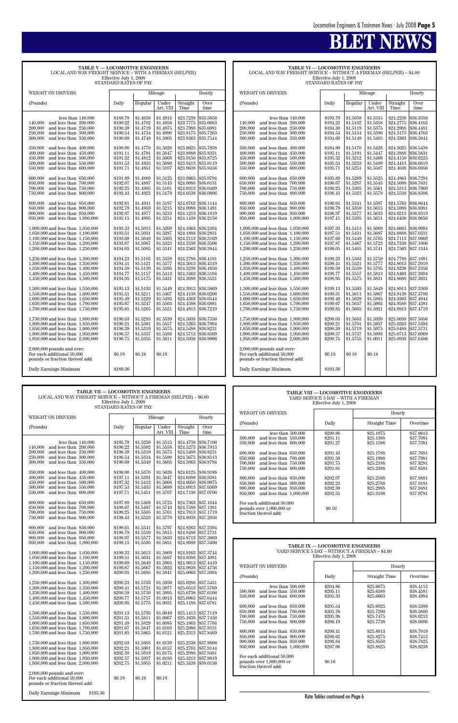| <b>TABLE V - LOCOMOTIVE ENGINEERS</b><br>LOCAL AND WAY FREIGHT SERVICE - WITH A FIREMAN (HELPER)<br>Effective July 1, 2008<br>STANDARD RATES OF PAY                                                                                                                                                                                                                                                                                                                                                                                                                                                                                                                                                                                                                                                                                                                                                                                                                                                                                                                                                                                                                                                                                                                                                                                                                                                                                       |                                                                                                                                                                                                                                                                                                                                                                                                                                                                      |                                                                                                                                                                                                                                                                                                                                                                                                                                                                      |                                                                                                                                                                                                                                                                                                                                                                                                                                                                      |                                                                                                                                                                                                                                                                                                                                                                                                                                                                                                            |                                                                                                                                                                                                                                                                                                                                                                                                                                                                                                            |  |
|-------------------------------------------------------------------------------------------------------------------------------------------------------------------------------------------------------------------------------------------------------------------------------------------------------------------------------------------------------------------------------------------------------------------------------------------------------------------------------------------------------------------------------------------------------------------------------------------------------------------------------------------------------------------------------------------------------------------------------------------------------------------------------------------------------------------------------------------------------------------------------------------------------------------------------------------------------------------------------------------------------------------------------------------------------------------------------------------------------------------------------------------------------------------------------------------------------------------------------------------------------------------------------------------------------------------------------------------------------------------------------------------------------------------------------------------|----------------------------------------------------------------------------------------------------------------------------------------------------------------------------------------------------------------------------------------------------------------------------------------------------------------------------------------------------------------------------------------------------------------------------------------------------------------------|----------------------------------------------------------------------------------------------------------------------------------------------------------------------------------------------------------------------------------------------------------------------------------------------------------------------------------------------------------------------------------------------------------------------------------------------------------------------|----------------------------------------------------------------------------------------------------------------------------------------------------------------------------------------------------------------------------------------------------------------------------------------------------------------------------------------------------------------------------------------------------------------------------------------------------------------------|------------------------------------------------------------------------------------------------------------------------------------------------------------------------------------------------------------------------------------------------------------------------------------------------------------------------------------------------------------------------------------------------------------------------------------------------------------------------------------------------------------|------------------------------------------------------------------------------------------------------------------------------------------------------------------------------------------------------------------------------------------------------------------------------------------------------------------------------------------------------------------------------------------------------------------------------------------------------------------------------------------------------------|--|
| <b>WEIGHT ON DRIVERS</b>                                                                                                                                                                                                                                                                                                                                                                                                                                                                                                                                                                                                                                                                                                                                                                                                                                                                                                                                                                                                                                                                                                                                                                                                                                                                                                                                                                                                                  |                                                                                                                                                                                                                                                                                                                                                                                                                                                                      |                                                                                                                                                                                                                                                                                                                                                                                                                                                                      | Mileage                                                                                                                                                                                                                                                                                                                                                                                                                                                              | Hourly                                                                                                                                                                                                                                                                                                                                                                                                                                                                                                     |                                                                                                                                                                                                                                                                                                                                                                                                                                                                                                            |  |
| (Pounds)                                                                                                                                                                                                                                                                                                                                                                                                                                                                                                                                                                                                                                                                                                                                                                                                                                                                                                                                                                                                                                                                                                                                                                                                                                                                                                                                                                                                                                  | Daily                                                                                                                                                                                                                                                                                                                                                                                                                                                                | Regular                                                                                                                                                                                                                                                                                                                                                                                                                                                              | Under<br>Art. VIII                                                                                                                                                                                                                                                                                                                                                                                                                                                   | Straight<br>Time                                                                                                                                                                                                                                                                                                                                                                                                                                                                                           | Over<br>time                                                                                                                                                                                                                                                                                                                                                                                                                                                                                               |  |
| less than $140,000$<br>140,000<br>and less than 200,000<br>200,000<br>and less than 250,000<br>250,000<br>and less than 300,000<br>300,000<br>and less than 350,000<br>350,000<br>and less than 400,000<br>400,000<br>and less than 450,000<br>and less than 500,000<br>450,000<br>and less than 550,000<br>500,000<br>550,000<br>and less than 600,000<br>600.000<br>and less than 650,000<br>and less than 700,000<br>650,000<br>700,000<br>and less than 750,000<br>750,000<br>and less than 800,000<br>800,000<br>and less than 850,000<br>850,000<br>and less than 900,000<br>and less than 950,000<br>900,000<br>950,000<br>and less than $1,000,000$<br>1,000,000 and less than 1,050,000<br>1,050,000 and less than 1,100,000<br>1,100,000 and less than 1,150,000<br>1,150,000 and less than $1,200,000$<br>1,200,000 and less than 1,250,000<br>1,250,000 and less than 1,300,000<br>1,300,000 and less than 1,350,000<br>1,350,000 and less than 1,400,000<br>1,400,000 and less than $1,450,000$<br>$1,450,000$ and less than $1,500,000$<br>1,500,000 and less than 1,550,000<br>1,550,000 and less than 1,600,000<br>1,600,000 and less than 1,650,000<br>1,650,000 and less than $1,700,000$<br>1,700,000 and less than 1,750,000<br>1,750,000 and less than 1,800,000<br>1,800,000 and less than 1,850,000<br>1,850,000 and less than 1,900,000<br>1,900,000 and less than 1,950,000<br>1,950,000 and less than 2,000,000 | \$189.79<br>\$190.22<br>\$190.39<br>\$190.54<br>\$190.69<br>\$190.90<br>\$191.11<br>\$191.32<br>\$191.53<br>\$191.71<br>\$191.89<br>\$192.07<br>\$192.25<br>\$192.43<br>\$192.61<br>\$192.79<br>\$192.97<br>\$193.15<br>\$193.33<br>\$193.51<br>\$193.69<br>\$193.87<br>\$194.05<br>\$194.23<br>\$194.41<br>\$194.59<br>\$194.77<br>\$194.95<br>\$195.13<br>\$195.31<br>\$195.49<br>\$195.67<br>\$195.85<br>\$196.03<br>\$196.21<br>\$196.39<br>\$196.57<br>\$196.75 | \$1.4659<br>\$1.4702<br>\$1.4719<br>\$1.4734<br>\$1.4749<br>\$1.4770<br>\$1.4791<br>\$1.4812<br>\$1.4833<br>\$1.4851<br>\$1.4869<br>\$1.4887<br>\$1.4905<br>\$1.4923<br>\$1.4941<br>\$1.4959<br>\$1.4977<br>\$1.4995<br>\$1.5013<br>\$1.5031<br>\$1.5049<br>\$1.5067<br>\$1.5085<br>\$1.5103<br>\$1.5121<br>\$1.5139<br>\$1.5157<br>\$1.5175<br>\$1.5193<br>\$1.5211<br>\$1.5229<br>\$1.5247<br>\$1.5265<br>\$1.5283<br>\$1.5301<br>\$1.5319<br>\$1.5337<br>\$1.5355 | \$1.4915<br>\$1.4958<br>\$1.4975<br>\$1.4990<br>\$1.5005<br>\$1.5026<br>\$1.5047<br>\$1.5068<br>\$1.5089<br>\$1.5107<br>\$1.5125<br>\$1.5143<br>\$1.5161<br>\$1.5179<br>\$1.5197<br>\$1.5215<br>\$1.5233<br>\$1.5251<br>\$1.5269<br>\$1.5287<br>\$1.5305<br>\$1.5323<br>\$1.5341<br>\$1.5359<br>\$1.5377<br>\$1.5395<br>\$1.5413<br>\$1.5431<br>\$1.5449<br>\$1.5467<br>\$1.5485<br>\$1.5503<br>\$1.5521<br>\$1.5539<br>\$1.5557<br>\$1.5575<br>\$1.5593<br>\$1.5611 | \$23.7238<br>\$23.7775<br>\$23.7988<br>\$23.8175<br>\$23.8363<br>\$23.8625<br>\$23.8888<br>\$23.9150<br>\$23.9413<br>\$23.9638<br>\$23.9863<br>\$24.0088<br>\$24.0313<br>\$24.0538<br>\$24.0763<br>\$24.0988<br>\$24.1213<br>\$24.1438<br>\$24.1663<br>\$24.1888<br>\$24.2113<br>\$24.2338<br>\$24.2563<br>\$24.2788<br>\$24.3013<br>\$24.3238<br>\$24.3463<br>\$24.3688<br>\$24.3913<br>\$24.4138<br>\$24.4363<br>\$24.4588<br>\$24.4813<br>\$24.5038<br>\$24.5263<br>\$24.5488<br>\$24.5713<br>\$24.5938 | \$35.5856<br>\$35.6663<br>\$35.6981<br>\$35.7263<br>\$35.7544<br>\$35.7938<br>\$35.8331<br>\$35.8725<br>\$35.9119<br>\$35.9456<br>\$35.9794<br>\$36.0131<br>\$36.0469<br>\$36.0806<br>\$36.1144<br>\$36.1481<br>\$36.1819<br>\$36.2156<br>\$36.2494<br>\$36.2831<br>\$36.3169<br>\$36.3506<br>\$36.3844<br>\$36.4181<br>\$36.4519<br>\$36.4856<br>\$36.5194<br>\$36.5531<br>\$36.5869<br>\$36.6206<br>\$36.6544<br>\$36.6881<br>\$36.7219<br>\$36,7556<br>\$36.7894<br>\$36.8231<br>\$36.8569<br>\$36.8906 |  |
| $2,000,000$ pounds and over:<br>For each additional 50,000<br>pounds or fraction thereof add:                                                                                                                                                                                                                                                                                                                                                                                                                                                                                                                                                                                                                                                                                                                                                                                                                                                                                                                                                                                                                                                                                                                                                                                                                                                                                                                                             | \$0.18                                                                                                                                                                                                                                                                                                                                                                                                                                                               | \$0.18                                                                                                                                                                                                                                                                                                                                                                                                                                                               | \$0.18                                                                                                                                                                                                                                                                                                                                                                                                                                                               |                                                                                                                                                                                                                                                                                                                                                                                                                                                                                                            |                                                                                                                                                                                                                                                                                                                                                                                                                                                                                                            |  |
| Daily Earnings Minimum                                                                                                                                                                                                                                                                                                                                                                                                                                                                                                                                                                                                                                                                                                                                                                                                                                                                                                                                                                                                                                                                                                                                                                                                                                                                                                                                                                                                                    | \$189.36                                                                                                                                                                                                                                                                                                                                                                                                                                                             |                                                                                                                                                                                                                                                                                                                                                                                                                                                                      |                                                                                                                                                                                                                                                                                                                                                                                                                                                                      |                                                                                                                                                                                                                                                                                                                                                                                                                                                                                                            |                                                                                                                                                                                                                                                                                                                                                                                                                                                                                                            |  |

**TABLE VI — LOCOMOTIVE ENGINEERS** LOCAL AND WAY FREIGHT SERVICE – WITHOUT A FIREMAN (HELPER) – \$4.00

Effective July 1, 2008 STANDARD RATES OF PAY

| WEIGHT ON DRIVERS                                                      |                      |                      | Mileage              |                        | Hourly                 |
|------------------------------------------------------------------------|----------------------|----------------------|----------------------|------------------------|------------------------|
| (Pounds)                                                               | Daily                | Regular              | Under                | Straight               | Over                   |
|                                                                        |                      |                      | Art. VIII            | Time                   | time                   |
| less than $140,000$                                                    | \$193.79             | \$1.5059             | \$1.5315             | \$24.2238              | \$36.3356              |
| 140,000<br>and less than 200,000                                       | \$194.22             | \$1.5102             | \$1.5358             | \$24.2775              | \$36.4163              |
| 200,000<br>and less than 250,000                                       | \$194.39             | \$1.5119             | \$1.5375             | \$24.2988              | \$36.4481              |
| 250,000<br>and less than 300,000                                       | \$194.54             | \$1.5134             | \$1.5390             | \$24.3175              | \$36.4763              |
| 300,000<br>and less than 350,000                                       | \$194.69             | \$1.5149             | \$1.5405             | \$24.3363              | \$36.5044              |
|                                                                        |                      |                      |                      |                        |                        |
| 350,000<br>and less than 400,000                                       | \$194.90             | \$1.5170             | \$1.5426             | \$24.3625              | \$36.5438              |
| 400,000<br>and less than 450,000                                       | \$195.11             | \$1.5191             | \$1.5447             | \$24.3888              | \$36.5831              |
| 450,000<br>and less than 500,000                                       | \$195.32             | \$1.5212             | \$1.5468             | \$24.4150              | \$36.6225              |
| and less than 550,000<br>500,000                                       | \$195.53             | \$1.5233             | \$1.5489<br>\$1.5507 | \$24.4413              | \$36.6619              |
| 550,000<br>and less than 600,000                                       | \$195.71             | \$1.5251             |                      | \$24.4638              | \$36.6956              |
| 600,000<br>and less than 650,000                                       | \$195.89             | \$1.5269             | \$1.5525             | \$24.4863              | \$36.7294              |
| and less than 700,000<br>650,000                                       | \$196.07             | \$1.5287             | \$1.5543             | \$24.5088              | \$36.7631              |
| 700,000<br>and less than 750,000                                       | \$196.25             | \$1.5305             | \$1.5561             | \$24.5313              | \$36.7969              |
| 750,000<br>and less than 800,000                                       | \$196.43             | \$1.5323             | \$1.5579             | \$24.5538              | \$36.8306              |
| 800,000<br>and less than 850,000                                       | \$196.61             | \$1.5341             | \$1.5597             | \$24.5763              | \$36.8644              |
| 850,000<br>and less than 900,000                                       | \$196.79             | \$1.5359             | \$1.5615             | \$24.5988              | \$36.8981              |
| 900,000<br>and less than 950,000                                       | \$196.97             | \$1.5377             | \$1.5633             | \$24.6213              | \$36.9319              |
| and less than $1,000,000$<br>950,000                                   | \$197.15             | \$1.5395             | \$1.5651             | \$24.6438              | \$36.9656              |
| 1,000,000 and less than 1,050,000                                      | \$197.33             | \$1.5413             | \$1.5669             | \$24.6663              | \$36.9994              |
| 1,050,000 and less than 1,100,000                                      | \$197.51             | \$1.5431             | \$1.5687             | \$24.6888              | \$37.0331              |
| 1,100,000 and less than 1,150,000                                      | \$197.69             | \$1.5449             | \$1.5705             | \$24.7113              | \$37.0669              |
| 1,150,000 and less than 1,200,000                                      | \$197.87             | \$1.5467             | \$1.5723             | \$24.7338              | \$37.1006              |
| 1,200,000 and less than 1,250,000                                      | \$198.05             | \$1.5485             | \$1.5741             | \$24.7563              | \$37.1344              |
|                                                                        |                      |                      |                      |                        |                        |
| 1,250,000 and less than 1,300,000                                      | \$198.23             | \$1.5503             | \$1.5759             | \$24.7788              | \$37.1681              |
| 1,300,000 and less than 1,350,000                                      | \$198.41             | \$1.5521             | \$1.5777             | \$24.8013              | \$37.2019              |
| 1,350,000 and less than 1,400,000                                      | \$198.59<br>\$198.77 | \$1.5539<br>\$1.5557 | \$1.5795<br>\$1.5813 | \$24.8238<br>\$24.8463 | \$37.2356<br>\$37.2694 |
| 1,400,000 and less than 1,450,000<br>1,450,000 and less than 1,500,000 | \$198.95             | \$1.5575             | \$1.5831             | \$24.8688              | \$37.3031              |
|                                                                        |                      |                      |                      |                        |                        |
| 1,500,000 and less than 1,550,000                                      | \$199.13             | $\$1.5593$           | \$1.5849             | \$24.8913              | \$37.3369              |
| 1,550,000 and less than 1,600,000                                      | \$199.31             | \$1.5611             | \$1.5867             | \$24.9138              | \$37.3706              |
| 1,600,000 and less than 1,650,000                                      | \$199.49             | \$1.5629             | \$1.5885             | \$24.9363              | \$37.4044              |
| 1,650,000 and less than 1,700,000                                      | \$199.67             | \$1.5647             | \$1.5903             | \$24.9588              | \$37.4381              |
| 1,700,000 and less than 1,750,000                                      | \$199.85             | \$1.5665             | \$1.5921             | \$24.9813              | \$37.4719              |
| 1,750,000 and less than 1,800,000                                      | \$200.03             | \$1.5683             | \$1.5939             | \$25,0038              | \$37.5056              |
| 1,800,000 and less than 1,850,000                                      | \$200.21             | \$1.5701             | \$1.5957             | \$25.0263              | \$37.5394              |
| 1,850,000 and less than 1,900,000                                      | \$200.39             | \$1.5719             | \$1.5975             | \$25.0488              | \$37.5731              |
| 1,900,000 and less than 1,950,000                                      | \$200.57             | \$1.5737             | \$1.5993             | \$25.0713              | \$37.6069              |
| 1,950,000 and less than 2,000,000                                      | \$200.75             | \$1.5755             | \$1.6011             | \$25.0938              | \$37.6406              |
| $2,000,000$ pounds and over:                                           |                      |                      |                      |                        |                        |
| For each additional 50,000                                             | \$0.18               | \$0.18               | \$0.18               |                        |                        |
| pounds or fraction thereof add:                                        |                      |                      |                      |                        |                        |
|                                                                        |                      |                      |                      |                        |                        |
| Daily Earnings Minimum                                                 | \$193.36             |                      |                      |                        |                        |

| <b>TABLE VII - LOCOMOTIVE ENGINEERS</b>                             |
|---------------------------------------------------------------------|
| LOCAL AND WAY FREIGHT SERVICE – WITHOUT A FIREMAN (HELPER) – \$6.00 |
| Effective July 1, 2008                                              |
| STANDARD RATES OF PAY                                               |

| <b>WEIGHT ON DRIVERS</b>                                               |                      |                      | Mileage              |                        | Hourly                 | WEIGHT ON DRIVERS                    |                                                 | Hourly        |           |
|------------------------------------------------------------------------|----------------------|----------------------|----------------------|------------------------|------------------------|--------------------------------------|-------------------------------------------------|---------------|-----------|
|                                                                        |                      |                      |                      |                        |                        | (Pounds)                             | Daily                                           | Straight Time | Overtime  |
| (Pounds)                                                               | Daily                | Regular              | Under                | Straight               | Over                   |                                      |                                                 |               |           |
|                                                                        |                      |                      | Art. VIII            | Time                   | time                   | less than $500,000$                  | \$200.86                                        | \$25.1075     | \$37.6613 |
|                                                                        |                      |                      |                      |                        |                        | 500,000<br>and less than 550,000     | \$201.11                                        | \$25.1388     | \$37.7081 |
| less than $140,000$                                                    | \$195.79             | \$1.5259             | \$1.5515             | \$24.4738              | \$36.7106              | 550,000<br>and less than 600,000     | \$201.27                                        | \$25.1588     | \$37.7381 |
| 140,000 and less than 200,000                                          | \$196.22             | \$1.5302             | \$1.5558             | \$24.5275              | \$36.7913              |                                      |                                                 |               |           |
| 200.000<br>and less than 250,000                                       | \$196.39             | \$1.5319             | \$1.5575             | \$24.5488              | \$36.8231              | 600,000<br>and less than 650,000     | \$201.43                                        | \$25.1788     | \$37.7681 |
| 250,000<br>and less than 300,000                                       | \$196.54             | \$1.5334<br>\$1.5349 | \$1.5590<br>\$1.5605 | \$24.5675<br>\$24.5863 | \$36.8513              | and less than 700,000<br>650,000     | \$201.59                                        | \$25.1988     | \$37.7981 |
| 300,000<br>and less than 350,000                                       | \$196.69             |                      |                      |                        | \$36.8794              | 700,000<br>and less than 750,000     | \$201.75                                        | \$25.2188     | \$37.8281 |
| and less than 400,000<br>350,000                                       | \$196.90             | \$1.5370             | \$1.5626             | \$24.6125              | \$36.9188              | 750,000<br>and less than 800,000     | \$201.91                                        | \$25,2388     | \$37.8581 |
| 400,000<br>and less than 450,000                                       | \$197.11             | \$1.5391             | \$1.5647             | \$24.6388              | \$36.9581              | 800,000<br>and less than 850,000     | \$202.07                                        | \$25.2588     | \$37.8881 |
| 450,000<br>and less than 500,000                                       | \$197.32             | \$1.5412             | \$1.5668             | \$24.6650              | \$36.9975              | 850,000<br>and less than 900,000     | \$202.23                                        | \$25.2788     | \$37.9181 |
| 500,000<br>and less than 550,000                                       | \$197.53             | \$1.5433             | \$1.5689             | \$24.6913              | \$37.0369              | 900,000<br>and less than 950,000     | \$202.39                                        | \$25.2988     | \$37.9481 |
| and less than 600,000<br>550,000                                       | \$197.71             | \$1.5451             | \$1.5707             | \$24.7138              | \$37.0706              | 950,000<br>and less than $1,000,000$ | \$202.55                                        | \$25.3188     | \$37.9781 |
|                                                                        |                      |                      |                      |                        |                        |                                      |                                                 |               |           |
| 600.000<br>and less than 650,000                                       | \$197.89             | \$1.5469             | \$1.5725             | \$24.7363              | \$37.1044              | For each additional 50,000           |                                                 |               |           |
| 650,000<br>and less than 700,000                                       | \$198.07             | \$1.5487             | \$1.5743             | \$24.7588              | \$37.1381              | pounds over 1,000,000 or             | \$0.16                                          |               |           |
| 700,000<br>and less than 750,000                                       | \$198.25             | \$1.5505             | \$1.5761             | \$24.7813              | \$37.1719              | fraction thereof add:                |                                                 |               |           |
| 750,000<br>and less than 800,000                                       | \$198.43             | \$1.5523             | \$1.5779             | \$24.8038              | \$37.2056              |                                      |                                                 |               |           |
|                                                                        |                      |                      |                      |                        | \$37.2394              |                                      |                                                 |               |           |
| and less than 850,000<br>800,000                                       | \$198.61             | \$1.5541<br>\$1.5559 | \$1.5797<br>\$1.5815 | \$24.8263<br>\$24.8488 | \$37.2731              |                                      |                                                 |               |           |
| 850,000<br>and less than 900,000<br>900,000<br>and less than 950,000   | \$198.79<br>\$198.97 | \$1.5577             | \$1.5833             | \$24.8713              | \$37.3069              |                                      |                                                 |               |           |
| 950,000<br>and less than $1,000,000$                                   | \$199.15             | \$1.5595             | \$1.5851             | \$24.8938              | \$37.3406              |                                      |                                                 |               |           |
|                                                                        |                      |                      |                      |                        |                        |                                      | TABLE IX - LOCOMOTIVE ENGINEERS                 |               |           |
| $1,000,000$ and less than $1,050,000$                                  | \$199.33             | \$1.5613             | \$1.5869             | \$24.9163              | \$37.3744              |                                      | YARD SERVICE 5 DAY - WITHOUT A FIREMAN - \$4.00 |               |           |
| $1,050,000$ and less than $1,100,000$                                  | \$199.51             | \$1.5631             | \$1.5887             | \$24.9388              | \$37.4081              |                                      | Effective July 1, 2008                          |               |           |
| 1,100,000 and less than $1,150,000$                                    | \$199.69             | \$1.5649             | \$1.5905             | \$24.9613              | \$37.4419              |                                      |                                                 |               |           |
| 1,150,000 and less than 1,200,000                                      | \$199.87             | \$1.5667             | \$1.5923             | \$24.9838              | \$37.4756              | WEIGHT ON DRIVERS                    |                                                 | Hourly        |           |
| 1,200,000 and less than 1,250,000                                      | \$200.05             | \$1.5685             | \$1.5941             | \$25.0063              | \$37.5094              |                                      |                                                 |               |           |
|                                                                        |                      |                      |                      |                        |                        | (Pounds)                             | Daily                                           | Straight Time | Overtime  |
| 1,250,000 and less than 1,300,000                                      | \$200.23             | \$1.5703             | \$1.5959             | \$25.0288              | \$37.5431              | less than $500,000$                  | \$204.86                                        | \$25.6075     | \$38.4113 |
| 1,300,000 and less than 1,350,000                                      | \$200.41             | \$1.5721             | \$1.5977             | \$25.0513              | \$37.5769              | 500,000<br>and less than 550,000     | \$205.11                                        | \$25.6388     | \$38.4581 |
| 1,350,000 and less than 1,400,000                                      | \$200.59             | \$1.5739             | \$1.5995             | \$25.0738              | \$37.6106              | 550,000<br>and less than 600,000     | \$205.33                                        | \$25,6663     | \$38.4994 |
| 1,400,000 and less than 1,450,000                                      | \$200.77             | \$1.5757             | \$1.6013             | \$25.0963              | \$37.6444              |                                      |                                                 |               |           |
| 1,450,000 and less than 1,500,000                                      | \$200.95             | \$1.5775             | \$1.6031             | \$25.1188              | \$37.6781              | 600,000<br>and less than 650,000     | \$205.54                                        | \$25.6925     | \$38,5388 |
|                                                                        |                      |                      |                      |                        |                        | 650,000<br>and less than 700,000     | \$205.76                                        | \$25.7200     | \$38.5800 |
| 1,500,000 and less than 1,550,000<br>1,550,000 and less than 1,600,000 | \$201.13<br>\$201.31 | \$1.5793<br>\$1.5811 | \$1.6049<br>\$1.6067 | \$25.1413<br>\$25.1638 | \$37.7119<br>\$37.7456 | and less than 750,000<br>700,000     | \$205.98                                        | \$25.7475     | \$38.6213 |
| 1,600,000 and less than 1,650,000                                      | \$201.49             | \$1.5829             | \$1.6085             | \$25.1863              | \$37.7794              | 750,000<br>and less than 800,000     | \$206.19                                        | \$25,7738     | \$38.6606 |
| 1,650,000 and less than 1,700,000                                      | \$201.67             | \$1.5847             | \$1.6103             | \$25.2088              | \$37.8131              |                                      |                                                 |               |           |
| 1,700,000 and less than 1,750,000                                      | \$201.85             | \$1.5865             | \$1.6121             | \$25.2313              | \$37.8469              | 800,000<br>and less than 850,000     | \$206.41                                        | \$25.8013     | \$38.7019 |
|                                                                        |                      |                      |                      |                        |                        | 850,000<br>and less than 900,000     | \$206.62                                        | \$25.8275     | \$38.7413 |
| 1,750,000 and less than 1,800,000                                      | \$202.03             | \$1.5883             | \$1.6139             | \$25.2538              | \$37.8806              | 900,000<br>and less than 950,000     | \$206.84                                        | \$25.8550     | \$38.7825 |
| 1,800,000 and less than 1,850,000                                      | \$202.21             | \$1.5901             | \$1.6157             | \$25.2763              | \$37.9144              | 950,000<br>and less than $1,000,000$ | \$207.06                                        | \$25,8825     | \$38.8238 |
| 1,850,000 and less than 1,900,000                                      | \$202.39             | \$1.5919             | \$1.6175             | \$25.2988              | \$37.9481              |                                      |                                                 |               |           |
| 1,900,000 and less than 1,950,000                                      | \$202.57             | \$1.5937             | \$1.6193             | \$25.3213              | \$37.9819              | For each additional 50,000           |                                                 |               |           |
| 1,950,000 and less than 2,000,000                                      | \$202.75             | \$1.5955             | \$1.6211             | \$25.3438              | \$38.0156              | pounds over 1,000,000 or             | \$0.16                                          |               |           |
|                                                                        |                      |                      |                      |                        |                        | fraction thereof add:                |                                                 |               |           |
| $2,000,000$ pounds and over:                                           |                      |                      |                      |                        |                        |                                      |                                                 |               |           |
| For each additional 50,000                                             | \$0.18               | \$0.18               | \$0.18               |                        |                        |                                      |                                                 |               |           |
| pounds or fraction thereof add:                                        |                      |                      |                      |                        |                        |                                      |                                                 |               |           |
|                                                                        |                      |                      |                      |                        |                        |                                      |                                                 |               |           |
| Daily Earnings Minimum<br>\$195.36                                     |                      |                      |                      |                        |                        |                                      | Rate Tables continued on Page 6                 |               |           |

|                                                                                                                                                                                                                                                                                                                                                                                                                                                                                    | <b>TABLE VIII - LOCOMOTIVE ENGINEERS</b><br>YARD SERVICE 5 DAY – WITH A FIREMAN<br>Effective July 1, 2008                                  |                                                                                                                                             |                                                                                                                                             |
|------------------------------------------------------------------------------------------------------------------------------------------------------------------------------------------------------------------------------------------------------------------------------------------------------------------------------------------------------------------------------------------------------------------------------------------------------------------------------------|--------------------------------------------------------------------------------------------------------------------------------------------|---------------------------------------------------------------------------------------------------------------------------------------------|---------------------------------------------------------------------------------------------------------------------------------------------|
| WEIGHT ON DRIVERS                                                                                                                                                                                                                                                                                                                                                                                                                                                                  |                                                                                                                                            | Hourly                                                                                                                                      |                                                                                                                                             |
| (Pounds)                                                                                                                                                                                                                                                                                                                                                                                                                                                                           | Daily                                                                                                                                      | Straight Time                                                                                                                               | Overtime                                                                                                                                    |
| less than $500,000$<br>500.000<br>and less than 550,000<br>550.000<br>and less than 600,000<br>600,000<br>and less than 650,000<br>650,000<br>and less than 700,000<br>700,000<br>and less than 750,000<br>750,000<br>and less than 800,000<br>800,000<br>and less than 850,000<br>850,000<br>and less than 900,000<br>900,000<br>and less than 950,000<br>950,000<br>and less than $1,000,000$<br>For each additional 50,000<br>pounds over 1,000,000 or<br>fraction thereof add: | \$200.86<br>\$201.11<br>\$201.27<br>\$201.43<br>\$201.59<br>\$201.75<br>\$201.91<br>\$202.07<br>\$202.23<br>\$202.39<br>\$202.55<br>\$0.16 | \$25.1075<br>\$25.1388<br>\$25.1588<br>\$25.1788<br>\$25.1988<br>\$25.2188<br>\$25.2388<br>\$25.2588<br>\$25,2788<br>\$25,2988<br>\$25,3188 | \$37.6613<br>\$37.7081<br>\$37.7381<br>\$37.7681<br>\$37.7981<br>\$37.8281<br>\$37.8581<br>\$37.8881<br>\$37.9181<br>\$37.9481<br>\$37.9781 |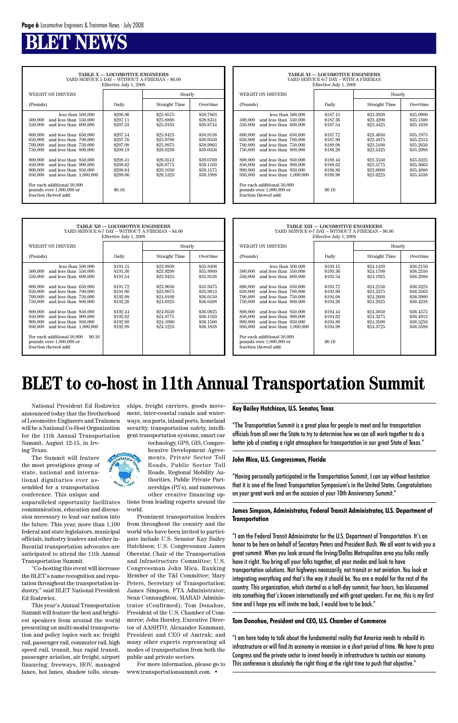### **BLEW**

**TABLE X — LOCOMOTIVE ENGINEERS** YARD SERVICE 5 DAY – WITHOUT A FIREMAN – \$6.00 Effective July 1, 2008

|                                                                                                                                                                                                                                                                                                                                                                                                                                                                                  | $\frac{1}{2}$                                                                                                                              |                                                                                                                                             |                                                                                                                                             |
|----------------------------------------------------------------------------------------------------------------------------------------------------------------------------------------------------------------------------------------------------------------------------------------------------------------------------------------------------------------------------------------------------------------------------------------------------------------------------------|--------------------------------------------------------------------------------------------------------------------------------------------|---------------------------------------------------------------------------------------------------------------------------------------------|---------------------------------------------------------------------------------------------------------------------------------------------|
| <b>WEIGHT ON DRIVERS</b>                                                                                                                                                                                                                                                                                                                                                                                                                                                         |                                                                                                                                            | Hourly                                                                                                                                      |                                                                                                                                             |
| (Pounds)                                                                                                                                                                                                                                                                                                                                                                                                                                                                         | Daily                                                                                                                                      | Straight Time                                                                                                                               | Overtime                                                                                                                                    |
| less than 500,000<br>and less than 550,000<br>500,000<br>550,000<br>and less than 600,000<br>600.000<br>and less than 650,000<br>and less than 700,000<br>650,000<br>700,000<br>and less than 750,000<br>750,000<br>and less than 800,000<br>800,000<br>and less than 850,000<br>and less than 900,000<br>850,000<br>900,000<br>and less than 950,000<br>and less than $1,000,000$<br>950,000<br>For each additional 50,000<br>pounds over 1,000,000 or<br>fraction thereof add: | \$206.86<br>\$207.11<br>\$207.33<br>\$207.54<br>\$207.76<br>\$207.98<br>\$208.19<br>\$208.41<br>\$208.62<br>\$208.84<br>\$209.06<br>\$0.16 | \$25.8575<br>\$25.8888<br>\$25.9163<br>\$25.9425<br>\$25.9700<br>\$25.9975<br>\$26.0238<br>\$26.0513<br>\$26.0775<br>\$26.1050<br>\$26.1325 | \$38.7863<br>\$38.8331<br>\$38.8744<br>\$38,9138<br>\$38,9550<br>\$38.9963<br>\$39,0356<br>\$39,0769<br>\$39.1163<br>\$39.1575<br>\$39.1988 |
|                                                                                                                                                                                                                                                                                                                                                                                                                                                                                  |                                                                                                                                            |                                                                                                                                             |                                                                                                                                             |

|                                                                                                                                                                                                                                                                                                                                                                                                                                                                                    | <b>TABLE XI - LOCOMOTIVE ENGINEERS</b><br>YARD SERVICE 6-7 DAY – WITH A FIREMAN<br>Effective July 1, 2008                                  |                                                                                                                                             |                                                                                                                                             |
|------------------------------------------------------------------------------------------------------------------------------------------------------------------------------------------------------------------------------------------------------------------------------------------------------------------------------------------------------------------------------------------------------------------------------------------------------------------------------------|--------------------------------------------------------------------------------------------------------------------------------------------|---------------------------------------------------------------------------------------------------------------------------------------------|---------------------------------------------------------------------------------------------------------------------------------------------|
| WEIGHT ON DRIVERS                                                                                                                                                                                                                                                                                                                                                                                                                                                                  |                                                                                                                                            | Hourly                                                                                                                                      |                                                                                                                                             |
| (Pounds)                                                                                                                                                                                                                                                                                                                                                                                                                                                                           | Daily                                                                                                                                      | Straight Time                                                                                                                               | Overtime                                                                                                                                    |
| less than $500,000$<br>500,000<br>and less than 550,000<br>and less than 600,000<br>550,000<br>600,000<br>and less than 650,000<br>and less than 700,000<br>650,000<br>and less than 750,000<br>700,000<br>750,000<br>and less than 800,000<br>800,000<br>and less than 850,000<br>850,000<br>and less than 900,000<br>and less than 950,000<br>900,000<br>and less than $1,000,000$<br>950,000<br>For each additional 50,000<br>pounds over 1,000,000 or<br>fraction thereof add: | \$187.15<br>\$187.36<br>\$187.54<br>\$187.72<br>\$187.90<br>\$188.08<br>\$188.26<br>\$188.44<br>\$188.62<br>\$188.80<br>\$188.98<br>\$0.16 | \$23.3938<br>\$23.4200<br>\$23.4425<br>\$23.4650<br>\$23.4875<br>\$23.5100<br>\$23.5325<br>\$23.5550<br>\$23.5775<br>\$23,6000<br>\$23.6225 | \$35,0906<br>\$35,1300<br>\$35.1638<br>\$35.1975<br>\$35.2313<br>\$35,2650<br>\$35,2988<br>\$35,3325<br>\$35,3663<br>\$35,4000<br>\$35,4338 |

|                                                                                                                                                                                                                                                                                                                                                                                                                                                                                              | <b>TABLE XII - LOCOMOTIVE ENGINEERS</b><br>Effective July 1, 2008                                                                | YARD SERVICE 6-7 DAY – WITHOUT A FIREMAN – \$4.00                                                                                           |                                                                                                                                             |
|----------------------------------------------------------------------------------------------------------------------------------------------------------------------------------------------------------------------------------------------------------------------------------------------------------------------------------------------------------------------------------------------------------------------------------------------------------------------------------------------|----------------------------------------------------------------------------------------------------------------------------------|---------------------------------------------------------------------------------------------------------------------------------------------|---------------------------------------------------------------------------------------------------------------------------------------------|
| WEIGHT ON DRIVERS                                                                                                                                                                                                                                                                                                                                                                                                                                                                            |                                                                                                                                  | Hourly                                                                                                                                      |                                                                                                                                             |
| (Pounds)                                                                                                                                                                                                                                                                                                                                                                                                                                                                                     | Daily                                                                                                                            | Straight Time                                                                                                                               | Overtime                                                                                                                                    |
| less than $500,000$<br>500,000<br>and less than 550,000<br>and less than 600,000<br>550,000<br>600,000<br>and less than 650,000<br>and less than 700,000<br>650,000<br>700,000<br>and less than 750,000<br>750,000<br>and less than 800,000<br>800,000<br>and less than 850,000<br>850,000<br>and less than 900,000<br>and less than 950,000<br>900,000<br>and less than $1,000,000$<br>950,000<br>\$0.16<br>For each additional 50,000<br>pounds over 1,000,000 or<br>fraction thereof add: | \$191.15<br>\$191.36<br>\$191.54<br>\$191.72<br>\$191.90<br>\$192.08<br>\$192.26<br>\$192.44<br>\$192.62<br>\$192.80<br>\$192.98 | \$23.8938<br>\$23.9200<br>\$23.9425<br>\$23.9650<br>\$23.9875<br>\$24.0100<br>\$24.0325<br>\$24.0550<br>\$24.0775<br>\$24.1000<br>\$24.1225 | \$35,8406<br>\$35,8800<br>\$35.9138<br>\$35.9475<br>\$35.9813<br>\$36,0150<br>\$36,0488<br>\$36.0825<br>\$36.1163<br>\$36.1500<br>\$36.1838 |

| <b>TABLE XIII - LOCOMOTIVE ENGINEERS</b><br>YARD SERVICE 6-7 DAY – WITHOUT A FIREMAN – \$6.00<br>Effective July 1, 2008                                                                                                                                                                                                                                                                                                                                                            |                                                                                                                                            |                                                                                                                                             |                                                                                                                                             |
|------------------------------------------------------------------------------------------------------------------------------------------------------------------------------------------------------------------------------------------------------------------------------------------------------------------------------------------------------------------------------------------------------------------------------------------------------------------------------------|--------------------------------------------------------------------------------------------------------------------------------------------|---------------------------------------------------------------------------------------------------------------------------------------------|---------------------------------------------------------------------------------------------------------------------------------------------|
| WEIGHT ON DRIVERS                                                                                                                                                                                                                                                                                                                                                                                                                                                                  |                                                                                                                                            | Hourly                                                                                                                                      |                                                                                                                                             |
| (Pounds)                                                                                                                                                                                                                                                                                                                                                                                                                                                                           | Daily                                                                                                                                      | Straight Time                                                                                                                               | Overtime                                                                                                                                    |
| less than $500,000$<br>500,000<br>and less than 550,000<br>and less than 600,000<br>550,000<br>600,000<br>and less than 650,000<br>650,000<br>and less than 700,000<br>700,000<br>and less than 750,000<br>750,000<br>and less than 800,000<br>800,000<br>and less than 850,000<br>850,000<br>and less than 900,000<br>900,000<br>and less than 950,000<br>and less than $1,000,000$<br>950,000<br>For each additional 50,000<br>pounds over 1,000,000 or<br>fraction thereof add: | \$193.15<br>\$193.36<br>\$193.54<br>\$193.72<br>\$193.90<br>\$194.08<br>\$194.26<br>\$194.44<br>\$194.62<br>\$194.80<br>\$194.98<br>\$0.16 | \$24.1438<br>\$24.1700<br>\$24.1925<br>\$24.2150<br>\$24.2375<br>\$24.2600<br>\$24.2825<br>\$24.3050<br>\$24.3275<br>\$24.3500<br>\$24.3725 | \$36.2156<br>\$36.2550<br>\$36,2888<br>\$36.3225<br>\$36.3563<br>\$36,3900<br>\$36.4238<br>\$36.4575<br>\$36.4913<br>\$36,5250<br>\$36,5588 |

National President Ed Rodzwicz announced today that the Brotherhood of Locomotive Engineers and Trainmen will be a National Co-Host Organization for the 11th Annual Transportation Summit, August 12-15, in Irving Texas.

The Summit will feature the most prestigious group of state, national and international dignitaries ever assembled for a transportation conference. This unique and

unparalleled opportunity facilitates communication, education and discussion necessary to lead our nation into the future. This year, more than 1,100 federal and state legislators, municipal officials, industry leaders and other influential transportation advocates are anticipated to attend the 11th Annual Transportation Summit.

"Co-hosting this event will increase the BLET's name recognition and reputation throughout the transportation industry," said BLET National President Ed Rodzwicz.

This year's Annual Transportation Summit will feature the best and brightest speakers from around the world presenting on multi-modal transportation and policy topics such as: freight rail, passenger rail, commuter rail, high speed rail, transit, bus rapid transit, passenger aviation, air freight, airport financing, freeways, HOV, managed lanes, hot lanes, shadow tolls, steam-



technology, GPS, GIS, Comprehensive Development Agreements, Private Sector Toll Roads, Public Sector Toll Roads, Regional Mobility Authorities, Public Private Partnerships (P3's), and numerous other creative financing op-

tions from leading experts around the world.

Prominent transportation leaders from throughout the country and the world who have been invited to participate include U.S. Senator Kay Bailey Hutchison; U.S. Congressman James Oberstar, Chair of the Transportation and Infrastructure Committee; U.S. Congressman John Mica, Ranking Member of the T&I Committee; Mary Peters, Secretary of Transportation; James Simpson, FTA Administrator; Sean Connaughton, MARAD Administrator (Confirmed); Tom Donahue, President of the U.S. Chamber of Commerce; John Horsley, Executive Director of AASHTO; Alexander Kummant, President and CEO of Amtrak; and many other experts representing all modes of transportation from both the public and private sectors.

For more information, please go to www.transportationsummit.com. •

### **BLET to co-host in 11th Annual Transportation Summit**

#### **Kay Bailey Hutchison, U.S. Senator, Texas**

"The Transportation Summit is a great place for people to meet and for transportation officials from all over the State to try to determine how we can all work together to do a better job of creating a right atmosphere for transportation in our great State of Texas."

#### **John Mica, U.S. Congressman, Florida**

"Having personally participated in the Transportation Summit, I can say without hesitation that it is one of the finest Transportation Symposium's in the United States. Congratulations on your great work and on the occasion of your 10th Anniversary Summit."

**James Simpson, Administrator, Federal Transit Administrator, U.S. Department of Transportation**

"I am the Federal Transit Administrator for the U.S. Department of Transportation. It's an honor to be here on behalf of Secretary Peters and President Bush. We all want to wish you a great summit. When you look around the Irving/Dallas Metropolitan area you folks really have it right. You bring all your folks together, all your modes and look to have transportation solutions. Not highways necessarily, not transit or not aviation. You look at integrating everything and that's the way it should be. You are a model for the rest of the country. This organization, which started as a half-day summit, four hours, has blossomed into something that's known internationally and with great speakers. For me, this is my first time and I hope you will invite me back, I would love to be back."

#### **Tom Donohue, President and CEO, U.S. Chamber of Commerce**

"I am here today to talk about the fundamental reality that America needs to rebuild its infrastructure or will find its economy in recession in a short period of time. We have to press Congress and the private sector to invest heavily in infrastructure to sustain our economy. This conference is absolutely the right thing at the right time to push that objective."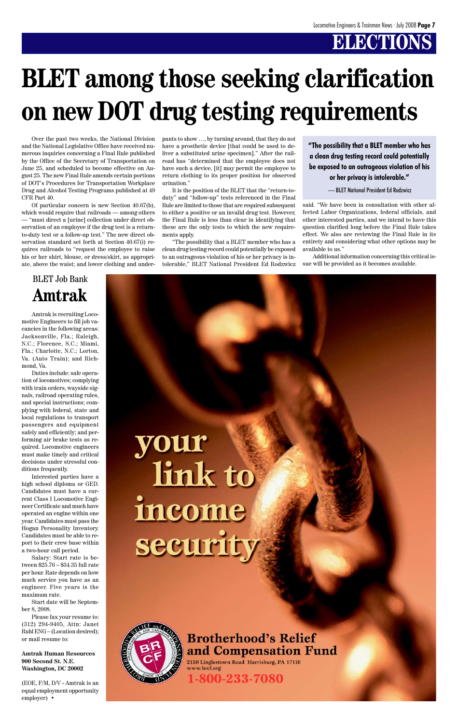# **ELECTIONS**

# **BLET among those seeking clarification on new DOT drug testing requirements**

Over the past two weeks, the National Division and the National Legislative Office have received numerous inquiries concerning a Final Rule published by the Office of the Secretary of Transportation on June 25, and scheduled to become effective on August 25. The new Final Rule amends certain portions of DOT's Procedures for Transportation Workplace Drug and Alcohol Testing Programs published at 49 CFR Part 40.

Of particular concern is new Section 40.67(b), which would require that railroads — among others — "must direct a [urine] collection under direct observation of an employee if the drug test is a returnto-duty test or a follow-up test." The new direct observation standard set forth at Section 40.67(i) requires railroads to "request the employee to raise his or her shirt, blouse, or dress/skirt, as appropriate, above the waist; and lower clothing and under-

#### pants to show …, by turning around, that they do not have a prosthetic device [that could be used to deliver a substituted urine specimen]." After the railroad has "determined that the employee does not have such a device, [it] may permit the employee to return clothing to its proper position for observed urination."

It is the position of the BLET that the "return-toduty" and "follow-up" tests referenced in the Final Rule are limited to those that are required subsequent to either a positive or an invalid drug test. However, the Final Rule is less than clear in identifying that these are the only tests to which the new requirements apply.

"The possibility that a BLET member who has a clean drug testing record could potentially be exposed to an outrageous violation of his or her privacy is intolerable," BLET National President Ed Rodzwicz said. "We have been in consultation with other affected Labor Organizations, federal officials, and other interested parties, and we intend to have this question clarified long before the Final Rule takes effect. We also are reviewing the Final Rule in its entirety and considering what other options may be available to us."

Additional information concerning this critical issue will be provided as it becomes available.

**"The possibility that a BLET member who has a clean drug testing record could potentially be exposed to an outrageous violation of his or her privacy is intolerable."**

— BLET National President Ed Rodzwicz

Amtrak is recruiting Locomotive Engineers to fill job vacancies in the following areas: Jacksonville, Fla.; Raleigh, N.C.; Florence, S.C.; Miami, Fla.; Charlotte, N.C.; Lorton, Va. (Auto Train); and Richmond, Va.

Duties include: safe operation of locomotives; complying with train orders, wayside signals, railroad operating rules, and special instructions; complying with federal, state and local regulations to transport passengers and equipment safely and efficiently; and performing air brake tests as required. Locomotive engineers must make timely and critical decisions under stressful conditions frequently.

Interested parties have a high school diploma or GED. Candidates must have a current Class I Locomotive Engineer Certificate and much have operated an engine within one year. Candidates must pass the Hogan Personality Inventory. Candidates must be able to report to their crew base within a two-hour call period. Salary: Start rate is between \$25.76 – \$34.35 full rate per hour. Rate depends on how much service you have as an engineer. Five years is the maximum rate.



Start date will be September 8, 2008.

Please fax your resume to: (312) 294-9405, Attn: Janet Ruhl ENG – (Location desired); or mail resume to:

**Amtrak Human Resources 900 Second St. N.E. Washington, DC 20002**

(EOE, F/M, D/V - Amtrak is an equal employment opportunity employer) •

# security



### **Brotherhood's Relief** and Compensation Fund

2150 Linglestown Road Harrisburg, PA 17110 www.brcf.org

1-800-233-7080

### BLET Job Bank **Amtrak**